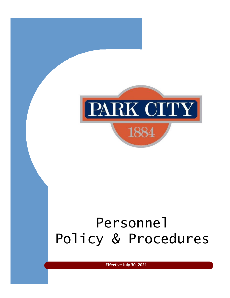

<span id="page-0-0"></span>**Effective July 30, 2021**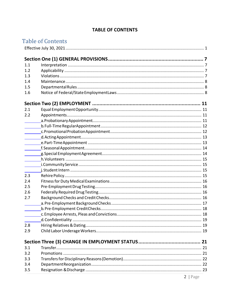# **TABLE OF CONTENTS**

|     | <b>Table of Contents</b> |
|-----|--------------------------|
|     |                          |
|     |                          |
|     |                          |
| 1.1 |                          |
| 1.2 |                          |
| 1.3 |                          |
| 1.4 |                          |
| 1.5 |                          |
| 1.6 |                          |
|     |                          |
| 2.1 |                          |
| 2.2 |                          |
|     |                          |
|     |                          |
|     |                          |
|     |                          |
|     |                          |
|     |                          |
|     |                          |
|     |                          |
|     |                          |
|     |                          |
| 2.3 |                          |
| 2.4 |                          |
| 2.5 |                          |
| 2.6 |                          |
| 2.7 |                          |
|     |                          |
|     |                          |
|     |                          |
|     |                          |
| 2.8 |                          |
| 2.9 |                          |
|     |                          |
| 3.1 |                          |
| 3.2 |                          |
| 3.3 |                          |
| 3.4 |                          |
| 3.5 |                          |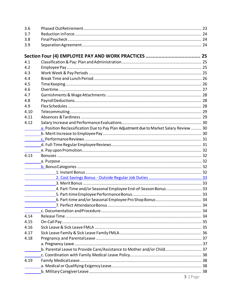| 3.6        |                                                                                         |  |
|------------|-----------------------------------------------------------------------------------------|--|
| 3.7        |                                                                                         |  |
| 3.8        |                                                                                         |  |
| 3.9        |                                                                                         |  |
|            |                                                                                         |  |
|            |                                                                                         |  |
| 4.1<br>4.2 |                                                                                         |  |
| 4.3        |                                                                                         |  |
| 4.4        |                                                                                         |  |
| 4.5        |                                                                                         |  |
| 4.6        |                                                                                         |  |
| 4.7        |                                                                                         |  |
| 4.8        |                                                                                         |  |
| 4.9        |                                                                                         |  |
|            |                                                                                         |  |
| 4.10       |                                                                                         |  |
| 4.11       |                                                                                         |  |
| 4.12       |                                                                                         |  |
|            | a. Position Reclassification Due to Pay Plan Adjustment due to Market Salary Review  30 |  |
|            |                                                                                         |  |
|            |                                                                                         |  |
|            |                                                                                         |  |
|            |                                                                                         |  |
| 4.13       |                                                                                         |  |
|            |                                                                                         |  |
|            |                                                                                         |  |
|            |                                                                                         |  |
|            |                                                                                         |  |
|            |                                                                                         |  |
|            | 4. Part-Time and/or Seasonal Employee End-of-Season Bonus  33                           |  |
|            |                                                                                         |  |
|            |                                                                                         |  |
|            |                                                                                         |  |
|            |                                                                                         |  |
| 4.14       |                                                                                         |  |
| 4.15       |                                                                                         |  |
| 4.16       |                                                                                         |  |
| 4.17       |                                                                                         |  |
| 4.18       |                                                                                         |  |
|            |                                                                                         |  |
|            | b. Parental Leave to Provide Care/Assistance to Mother and/or Child 37                  |  |
|            |                                                                                         |  |
| 4.19       |                                                                                         |  |
|            |                                                                                         |  |
|            |                                                                                         |  |
|            | $3$   Page                                                                              |  |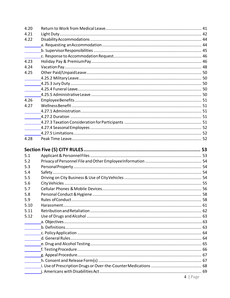| 4.20                                                        |                            |    |
|-------------------------------------------------------------|----------------------------|----|
| 4.21                                                        |                            |    |
| 4.22                                                        |                            |    |
|                                                             |                            |    |
|                                                             |                            |    |
|                                                             |                            |    |
| 4.23                                                        |                            |    |
| 4.24                                                        |                            |    |
| 4.25                                                        |                            |    |
|                                                             |                            |    |
| $\mathcal{L}^{\text{max}}$ , and $\mathcal{L}^{\text{max}}$ |                            |    |
| $\frac{1}{2}$                                               |                            |    |
|                                                             |                            |    |
| 4.26                                                        |                            |    |
| 4.27                                                        |                            |    |
|                                                             |                            |    |
|                                                             |                            |    |
|                                                             |                            |    |
|                                                             |                            |    |
|                                                             |                            |    |
| 4.28                                                        |                            |    |
|                                                             |                            |    |
|                                                             |                            |    |
|                                                             |                            |    |
| 5.1                                                         |                            |    |
| 5.2                                                         |                            |    |
| 5.3                                                         |                            |    |
| 5.4                                                         |                            |    |
| 5.5                                                         |                            |    |
| 5.6                                                         |                            |    |
| 5.7                                                         |                            |    |
| 5.8                                                         | Personal Conduct & Hygiene | 58 |
| 5.9                                                         |                            |    |
| 5.10                                                        |                            |    |
| 5.11                                                        |                            |    |
| 5.12                                                        |                            |    |
|                                                             |                            |    |
|                                                             |                            |    |
|                                                             |                            |    |
|                                                             |                            |    |
|                                                             |                            |    |
|                                                             |                            |    |
|                                                             |                            |    |
|                                                             |                            |    |
|                                                             |                            |    |
|                                                             |                            |    |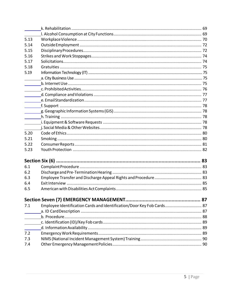| 5.13 |                                                                        |  |
|------|------------------------------------------------------------------------|--|
| 5.14 |                                                                        |  |
| 5.15 |                                                                        |  |
| 5.16 |                                                                        |  |
| 5.17 |                                                                        |  |
| 5.18 |                                                                        |  |
| 5.19 |                                                                        |  |
|      |                                                                        |  |
|      |                                                                        |  |
|      |                                                                        |  |
|      |                                                                        |  |
|      |                                                                        |  |
|      |                                                                        |  |
|      |                                                                        |  |
|      |                                                                        |  |
|      |                                                                        |  |
|      |                                                                        |  |
| 5.20 |                                                                        |  |
| 5.21 |                                                                        |  |
| 5.22 |                                                                        |  |
| 5.23 |                                                                        |  |
|      |                                                                        |  |
| 6.1  |                                                                        |  |
| 6.2  |                                                                        |  |
| 6.3  |                                                                        |  |
| 6.4  |                                                                        |  |
| 6.5  |                                                                        |  |
|      |                                                                        |  |
| 7.1  | Employee Identification Cards and Identification/Door Key Fob Cards 87 |  |
|      |                                                                        |  |
|      |                                                                        |  |
|      |                                                                        |  |
|      |                                                                        |  |
| 7.2  |                                                                        |  |
| 7.3  |                                                                        |  |
| 7.4  |                                                                        |  |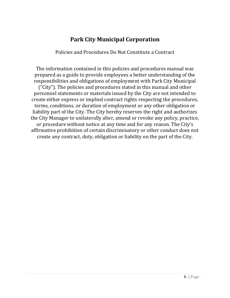# **Park City Municipal Corporation**

Policies and Procedures Do Not Constitute a Contract

The information contained in this policies and procedures manual was prepared as a guide to provide employees a better understanding of the responsibilities and obligations of employment with Park City Municipal ("City"). The policies and procedures stated in this manual and other personnel statements or materials issued by the City are not intended to create either express or implied contract rights respecting the procedures, terms, conditions, or duration of employment or any other obligation or liability part of the City. The City hereby reserves the right and authorizes the City Manager to unilaterally alter, amend or revoke any policy, practice, or procedure without notice at any time and for any reason. The City's affirmative prohibition of certain discriminatory or other conduct does not create any contract, duty, obligation or liability on the part of the City.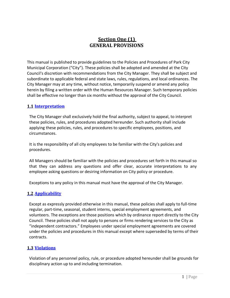# **Section One (1) GENERAL PROVISIONS**

<span id="page-6-0"></span>This manual is published to provide guidelines to the Policies and Procedures of Park City Municipal Corporation ("City"). These policies shall be adopted and amended at the City Council's discretion with recommendations from the City Manager. They shall be subject and subordinate to applicable federal and state laws, rules, regulations, and local ordinances. The City Manager may at any time, without notice, temporarily suspend or amend any policy herein by filing a written order with the Human Resources Manager. Such temporary policies shall be effective no longer than six months without the approval of the City Council.

### <span id="page-6-1"></span>**1.1 Interpretation**

The City Manager shall exclusively hold the final authority, subject to appeal, to interpret these policies, rules, and procedures adopted hereunder. Such authority shall include applying these policies, rules, and procedures to specific employees, positions, and circumstances.

It is the responsibility of all city employees to be familiar with the City's policies and procedures.

All Managers should be familiar with the policies and procedures set forth in this manual so that they can address any questions and offer clear, accurate interpretations to any employee asking questions or desiring information on City policy or procedure.

Exceptions to any policy in this manual must have the approval of the City Manager.

### <span id="page-6-2"></span>**1.2 Applicability**

Except as expressly provided otherwise in this manual, these policies shall apply to full-time regular, part‐time, seasonal, student interns, special employment agreements, and volunteers. The exceptions are those positions which by ordinance report directly to the City Council. These policies shall not apply to persons or firms rendering services to the City as "independent contractors." Employees under special employment agreements are covered under the policies and procedures in this manual except where superseded by terms of their contracts.

### <span id="page-6-3"></span>**1.3 Violations**

Violation of any personnel policy, rule, or procedure adopted hereunder shall be grounds for disciplinary action up to and including termination.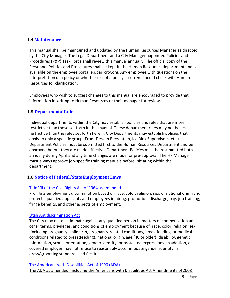### <span id="page-7-0"></span>**1.4 Maintenance**

This manual shall be maintained and updated by the Human Resources Manager as directed by the City Manager. The Legal Department and a City Manager appointed Policies and Procedures (P&P) Task Force shall review this manual annually. The official copy of the Personnel Policies and Procedures shall be kept in the Human Resources department and is available on the employee portal ep.parkcity.org. Any employee with questions on the interpretation of a policy or whether or not a policy is current should check with Human Resources for clarification.

Employees who wish to suggest changes to this manual are encouraged to provide that information in writing to Human Resources or their manager for review.

### <span id="page-7-1"></span>**1.5 DepartmentalRules**

Individual departments within the City may establish policies and rules that are more restrictive than those set forth in this manual. These department rules may not be less restrictive than the rules set forth herein. City Departments may establish policies that apply to only a specific group (Front Desk in Recreation, Ice Rink Supervisors, etc.). Department Policies must be submitted first to the Human Resources Department and be approved before they are made effective. Department Policies must be resubmitted both annually during April and any time changes are made for pre‐approval. The HR Manager must always approve job-specific training manuals before initiating within the department.

#### <span id="page-7-2"></span>**1.6 Notice of Federal/StateEmployment Laws**

#### Title VII of the Civil Rights Act of 1964 as amended

Prohibits employment discrimination based on race, color, religion, sex, or national origin and protects qualified applicants and employees in hiring, promotion, discharge, pay, job training, fringe benefits, and other aspects of employment.

#### Utah Antidiscrimination Act

The City may not discriminate against any qualified person in matters of compensation and other terms, privileges, and conditions of employment because of: race, color, religion, sex (including pregnancy, childbirth, pregnancy‐related conditions, breastfeeding, or medical conditions related to breastfeeding), national origin, age (40 or older), disability, genetic information, sexual orientation, gender identity, or protected expressions. In addition, a covered employer may not refuse to reasonably accommodate gender identity in dress/grooming standards and facilities.

#### The Americans with Disabilities Act of 1990 (ADA)

The ADA as amended, including the Americans with Disabilities Act Amendments of 2008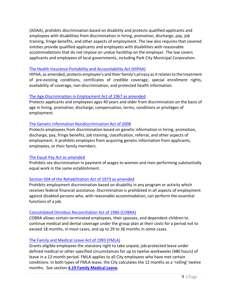(ADAA), prohibits discrimination based on disability and protects qualified applicants and employees with disabilities from discrimination in hiring, promotion, discharge, pay, job training, fringe benefits, and other aspects of employment. The law also requires that covered entities provide qualified applicants and employees with disabilities with reasonable accommodations that do not impose an undue hardship on the employer. The law covers applicants and employees of local governments, including Park City Municipal Corporation.

#### The Health Insurance Portability and Accountability Act (HIPAA)

HIPAA, as amended, protects employee's and their family's privacy as it relates to the treatment of pre‐existing conditions, certificates of credible coverage, special enrollment rights, availability of coverage, non‐discrimination, and protected health information.

#### The Age Discrimination in Employment Act of 1967 as amended

Protects applicants and employees ages 40 years and older from discrimination on the basis of age in hiring, promotion, discharge, compensation, terms, conditions or privileges of employment.

#### The Genetic Information Nondiscrimination Act of 2008

Protects employees from discrimination based on genetic information in hiring, promotion, discharge, pay, fringe benefits, job training, classification, referral, and other aspects of employment. It prohibits employers from acquiring genetic information from applicants, employees, or their family members.

#### The Equal Pay Act as amended

Prohibits sex discrimination in payment of wages to women and men performing substantially equal work in the same establishment.

#### Section 504 of the Rehabilitation Act of 1973 as amended

Prohibits employment discrimination based on disability in any program or activity which receives federal financial assistance. Discrimination is prohibited in all aspects of employment against disabled persons who, with reasonable accommodation, can perform the essential functions of a job.

#### Consolidated Omnibus Reconciliation Act of 1986 (COBRA)

COBRA allows certain terminated employees, their spouses, and dependent children to continue medical and dental coverage under the group plan at their costs for a period not to exceed 18 months, in most cases, and up to 29 to 36 months in some cases.

#### The Family and Medical Leave Act of 1993 (FMLA)

Grants eligible employees the statutory right to take unpaid, job-protected leave under defined medical or other specified circumstances for up to twelve workweeks (480 hours) of leave in a 12‐month period. FMLA applies to all City employees who have met certain conditions. In both types of FMLA leave, the City calculates the 12 months as a 'rolling' twelve months. See section **4.19 Family Medical Leave.**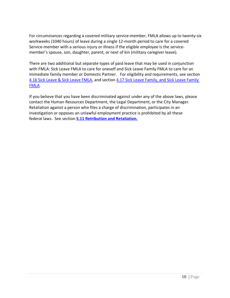For circumstances regarding a covered military service-member, FMLA allows up to twenty-six workweeks (1040 hours) of leave during a single 12‐month period to care for a covered Service-member with a serious injury or illness if the eligible employee is the servicemember's spouse, son, daughter, parent, or next of kin (military caregiver leave).

There are two additional but separate types of paid leave that may be used in conjunction with FMLA: Sick Leave FMLA to care for oneself and Sick Leave Family FMLA to care for an immediate family member or Domestic Partner. For eligibility and requirements, see section [4.16 Sick Leave & Sick Leave FMLA,](#page-34-1) and section [4.17 Sick Leave Family, and Sick Leave Family](#page-34-1)  [FMLA.](#page-34-1)

If you believe that you have been discriminated against under any of the above laws, please contact the Human Resources Department, the Legal Department, or the City Manager. Retaliation against a person who files a charge of discrimination, participates in an investigation or opposes an unlawful employment practice is prohibited by all these federal laws. See section **[5.11 Retribution and Retaliation.](#page-61-0)**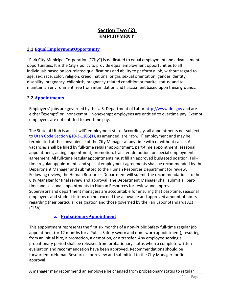# **Section Two (2) EMPLOYMENT**

### <span id="page-10-1"></span><span id="page-10-0"></span>**2.1 EqualEmploymentOpportunity**

Park City Municipal Corporation ("City") is dedicated to equal employment and advancement opportunities. It is the City's policy to provide equal employment opportunities to all individuals based on job‐related qualifications and ability to perform a job, without regard to age, sex, race, color, religion, creed, national origin, sexual orientation, gender identity, disability, pregnancy, childbirth, pregnancy-related condition or marital status, and to maintain an environment free from intimidation and harassment based upon these grounds.

### <span id="page-10-2"></span>**2.2 Appointments**

Employees' jobs are governed by the U.S. Department of Labor [http://www.dol.gov a](http://www.dol.gov/)nd are either "exempt" or "nonexempt." Nonexempt employees are entitled to overtime pay. Exempt employees are not entitled to overtime pay.

The State of Utah is an "at-will" employment state. Accordingly, all appointments not subject to Utah Code Section §10-3-1105(1), as amended, are "at-will" employment and may be terminated at the convenience of the City Manager at any time with or without cause. All vacancies shall be filled by full‐time regular appointment, part‐time appointment, seasonal appointment, acting appointment, promotion, transfer, demotion, or special employment agreement. All full‐time regular appointments must fill an approved budgeted position. Fulltime regular appointments and special employment agreements shall be recommended by the Department Manager and submitted to the Human Resources Department for review. Following review, the Human Resources Department will submit the recommendations to the City Manager for final review and approval. The Department Manager shall submit all part‐ time and seasonal appointments to Human Resources for review and approval. Supervisors and department managers are accountable for ensuring that part‐time, seasonal employees and student interns do not exceed the allowable and approved amount of hours regarding their particular designation and those governed by the Fair Labor Standards Act (FLSA).

### **a. ProbationaryAppointment**

<span id="page-10-3"></span>This appointment represents the first six months of a non‐Public Safety full‐time regular job appointment (or 12 months for a Public Safety sworn and non-sworn appointment), resulting from an initial hire, a promotion, a demotion, or a transfer. Any employee serving a probationary period shall be released from probationary status when a complete written evaluation and recommendation have been approved. Recommendations should be forwarded to Human Resources for review and submitted to the City Manager for final approval.

A manager may recommend an employee be changed from probationary status to regular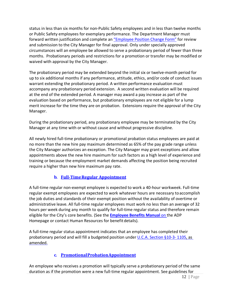status in less than six months for non‐Public Safety employees and in less than twelve months or Public Safety employees for exemplary performance. The Department Manager must forward written justification and complete an ["Employee Position Change Form"](https://pclaserfiche.parkcity.org/Forms/EmployeeChangeRequestForm) for review and submission to the City Manager for final approval. Only under specially approved circumstances will an employee be allowed to serve a probationary period of fewer than three months. Probationary periods and restrictions for a promotion or transfer may be modified or waived with approval by the City Manager.

The probationary period may be extended beyond the initial six or twelve-month period for up to six additional months if any performance, attitude, ethics, and/or code of conduct issues warrant extending the probationary period. A written performance evaluation must accompany any probationary period extension. A second written evaluation will be required at the end of the extended period. A manager may award a pay increase as part of the evaluation based on performance, but probationary employees are not eligible for a lump merit increase for the time they are on probation. Extensions require the approval of the City Manager.

During the probationary period, any probationary employee may be terminated by the City Manager at any time with or without cause and without progressive discipline.

All newly hired full‐time probationary or promotional probation status employees are paid at no more than the new hire pay maximum determined as 65% of the pay grade range unless the City Manager authorizes an exception. The City Manager may grant exceptions and allow appointments above the new hire maximum for such factors as a high level of experience and training or because the employment market demands affecting the position being recruited require a higher than new hire maximum pay rate.

# **b. Full‐TimeRegular Appointment**

<span id="page-11-0"></span>A full-time regular non-exempt employee is expected to work a 40-hour workweek. Full-time regular exempt employees are expected to work whatever hours are necessary toaccomplish the job duties and standards of their exempt position without the availability of overtime or administrative leave. All full-time regular employees must work no less than an average of 32 hours per week during any month to qualify for full-time regular status and therefore remain eligible for the City's core benefits. (See the **Employee Benefits Manual** on the ADP Homepage or contact Human Resources for benefit details).

A full‐time regular status appointment indicates that an employee has completed their probationary period and will fill a budgeted position under U.C.A. Section §10‐3‐ 1105, as amended.

# **c. PromotionalProbationAppointment**

<span id="page-11-1"></span>An employee who receives a promotion will typically serve a probationary period of the same duration as if the promotion were a new full‐time regular appointment. See guidelines for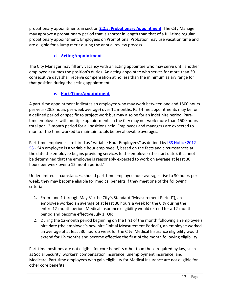probationary appointments in section **[2.2.a. Probationary Appointment](#page-10-3)**. The City Manager may approve a probationary period that is shorter in length than that of a full‐time regular probationary appointment. Employees on Promotional Probation may use vacation time and are eligible for a lump merit during the annual review process.

# **d. ActingAppointment**

<span id="page-12-0"></span>The City Manager may fill any vacancy with an acting appointee who may serve until another employee assumes the position's duties. An acting appointee who serves for more than 30 consecutive days shall receive compensation at no less than the minimum salary range for that position during the acting appointment.

# **e. Part‐TimeAppointment**

<span id="page-12-1"></span>A part‐time appointment indicates an employee who may work between one and 1500 hours per year (28.8 hours per week average) over 12 months. Part‐time appointments may be for a defined period or specific to project work but may also be for an indefinite period. Part‐ time employees with multiple appointments in the City may not work more than 1500 hours total per 12‐month period for all positions held. Employees and managers are expected to monitor the time worked to maintain totals below allowable averages.

Part-time employees are hired as "Variable Hour Employees" as defined by IRS Notice 2012-58 - "An employee is a variable hour employee if, based on the facts and circumstances at the date the employee begins providing services to the employer (the start date), it cannot be determined that the employee is reasonably expected to work on average at least 30 hours per week over a 12 month period."

Under limited circumstances, should part‐time employee hour averages rise to 30 hours per week, they may become eligible for medical benefits if they meet one of the following criteria:

- **1.** From June 1 through May 31 (the City's Standard "Measurement Period"), an employee worked an average of at least 30 hours a week for the City during the entire 12-month period. Medical Insurance eligibility would extend for a 12-month period and become effective July 1. **OR**
- 2. During the 12-month period beginning on the first of the month following anemployee's hire date (the employee's new hire "Initial Measurement Period"), an employee worked an average of at least 30 hours a week for the City. Medical Insurance eligibility would extend for 12-months and become effective the first of the month following eligibility.

Part-time positions are not eligible for core benefits other than those required by law, such as Social Security, workers' compensation insurance, unemployment insurance, and Medicare. Part-time employees who gain eligibility for Medical Insurance are not eligible for other core benefits.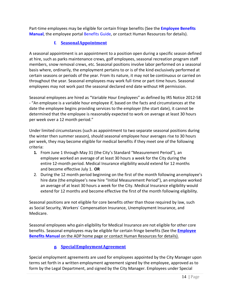<span id="page-13-0"></span>Part‐time employees may be eligible for certain fringe benefits (See the **Employee Benefits Manual**, the employee portal Benefits Guide, or contact Human Resources for details).

### **f. SeasonalAppointment**

A seasonal appointment is an appointment to a position open during a specific season defined at hire, such as parks maintenance crews, golf employees, seasonal recreation program staff members, snow removal crews, etc. Seasonal positions involve labor performed on a seasonal basis where, ordinarily, the employment pertains to or is of the kind exclusively performed at certain seasons or periods of the year. From its nature, it may not be continuous or carried on throughout the year. Seasonal employees may work full‐time or part‐time hours. Seasonal employees may not work past the seasonal declared end date without HR permission.

Seasonal employees are hired as "Variable Hour Employees" as defined by IRS Notice 2012‐58 - "An employee is a variable hour employee if, based on the facts and circumstances at the date the employee begins providing services to the employer (the start date), it cannot be determined that the employee is reasonably expected to work on average at least 30 hours per week over a 12 month period."

Under limited circumstances (such as appointment to two separate seasonal positions during the winter then summer season), should seasonal employee hour averages rise to 30 hours per week, they may become eligible for medical benefits if they meet one of the following criteria:

- **1.** From June 1 through May 31 (the City's Standard "Measurement Period"), an employee worked an average of at least 30 hours a week for the City during the entire 12-month period. Medical Insurance eligibility would extend for 12 months and become effective July 1. **OR**
- 2. During the 12 month period beginning on the first of the month following anemployee's hire date (the employee's new hire "Initial Measurement Period"), an employee worked an average of at least 30 hours a week for the City. Medical Insurance eligibility would extend for 12 months and become effective the first of the month following eligibility.

Seasonal positions are not eligible for core benefits other than those required by law, such as Social Security, Workers' Compensation Insurance, Unemployment Insurance, and Medicare.

Seasonal employees who gain eligibility for Medical Insurance are not eligible for other core benefits. Seasonal employees may be eligible for certain fringe benefits (See the **Employee Benefits Manual** on the ADP home page or contact Human Resources for details).

# **g. SpecialEmploymentAgreement**

<span id="page-13-1"></span>Special employment agreements are used for employees appointed by the City Manager upon terms set forth in a written employment agreement signed by the employee, approved as to form by the Legal Department, and signed by the City Manager. Employees under Special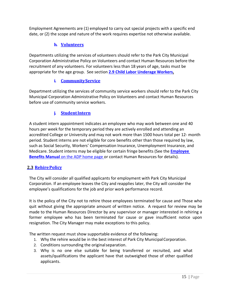Employment Agreements are (1) employed to carry out special projects with a specific end date, or (2) the scope and nature of the work requires expertise not otherwise available.

### **h. Volunteers**

<span id="page-14-0"></span>Departments utilizing the services of volunteers should refer to the Park City Municipal Corporation Administrative Policy on Volunteers and contact Human Resources before the recruitment of any volunteers. For volunteers less than 18 years of age, tasks must be appropriate for the age group. See section **2.9 Child Labor Underage Workers.**

### **i. CommunityService**

<span id="page-14-1"></span>Department utilizing the services of community service workers should refer to the Park City Municipal Corporation Administrative Policy on Volunteers and contact Human Resources before use of community service workers.

# **j. StudentIntern**

<span id="page-14-2"></span>A student intern appointment indicates an employee who may work between one and 40 hours per week for the temporary period they are actively enrolled and attending an accredited College or University and may not work more than 1500 hours total per 12‐ month period. Student interns are not eligible for core benefits other than those required by law, such as Social Security, Workers' Compensation Insurance, Unemployment Insurance, and Medicare. Student interns may be eligible for certain fringe benefits (See the **Employee Benefits Manual** on the ADP home page or contact Human Resources for details).

### <span id="page-14-3"></span>**2.3 RehirePolicy**

The City will consider all qualified applicants for employment with Park City Municipal Corporation. If an employee leaves the City and reapplies later, the City will consider the employee's qualifications for the job and prior work performance record.

It is the policy of the City not to rehire those employees terminated for cause and Those who quit without giving the appropriate amount of written notice. A request for review may be made to the Human Resources Director by any supervisor or manager interested in rehiring a former employee who has been terminated for cause or gave insufficient notice upon resignation. The City Manager may make exceptions to this policy.

The written request must show supportable evidence of the following:

- 1. Why the rehire would be in the best interest of Park City MunicipalCorporation.
- 2. Conditions surrounding the originalseparation.
- 3. Why is no one else suitable for being transferred or recruited, and what assets/qualifications the applicant have that outweighed those of other qualified applicants.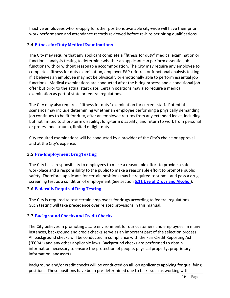Inactive employees who re‐apply for other positions available city‐wide will have their prior work performance and attendance records reviewed before re-hire per hiring qualifications.

### <span id="page-15-0"></span>**2.4 Fitness forDuty MedicalExaminations**

The City may require that any applicant complete a "fitness for duty" medical examination or functional analysis testing to determine whether an applicant can perform essential job functions with or without reasonable accommodation. The City may require any employee to complete a fitness for duty examination, employer EAP referral, or functional analysis testing if it believes an employee may not be physically or emotionally able to perform essential job functions. Medical examinations are conducted after the hiring process and a conditional job offer but prior to the actual start date. Certain positions may also require a medical examination as part of state or federal regulations.

The City may also require a "fitness for duty" examination for current staff. Potential scenarios may include determining whether an employee performing a physically demanding job continues to be fit for duty, after an employee returns from any extended leave, including but not limited to short‐term disability, long‐term disability, and return to work from personal or professional trauma, limited or light duty.

City required examinations will be conducted by a provider of the City's choice or approval and at the City's expense.

#### <span id="page-15-1"></span>**2.5 Pre‐EmploymentDrugTesting**

The City has a responsibility to employees to make a reasonable effort to provide a safe workplace and a responsibility to the public to make a reasonable effort to promote public safety. Therefore, applicants for certain positions may be required to submit and pass a drug screening test as a condition of employment (See section **5.11 Use of Drugs and Alcohol**).

#### <span id="page-15-2"></span>**2.6 FederallyRequired DrugTesting**

The City is required to test certain employees for drugs according to federal regulations. Such testing will take precedence over related provisions in this manual.

### <span id="page-15-3"></span>**2.7 BackgroundChecks and CreditChecks**

The City believes in promoting a safe environment for our customers and employees. In many instances, background and credit checks serve as an important part of the selection process. All background checks will be conducted in compliance with the Fair Credit Reporting Act ("FCRA") and any other applicable laws. Background checks are performed to obtain information necessary to ensure the protection of people, physical property, proprietary information, andassets.

Background and/or credit checks will be conducted on all job applicants applying for qualifying positions. These positions have been pre‐determined due to tasks such as working with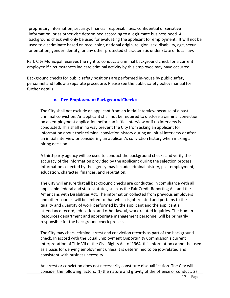proprietary information, security, financial responsibilities, confidential or sensitive information, or as otherwise determined according to a legitimate business need. A background check will only be used for evaluating the applicant for employment. It will not be used to discriminate based on race, color, national origin, religion, sex, disability, age, sexual orientation, gender identity, or any other protected characteristic under state or local law.

Park City Municipal reserves the right to conduct a criminal background check for a current employee if circumstances indicate criminal activity by this employee may have occurred.

Background checks for public safety positions are performed in-house by public safety personnel and follow a separate procedure. Please see the public safety policy manual for further details.

### **a. Pre‐EmploymentBackgroundChecks**

<span id="page-16-0"></span>The City shall not exclude an applicant from an initial interview because of a past criminal conviction. An applicant shall not be required to disclose a criminal conviction on an employment application before an initial interview or if no interview is conducted. This shall in no way prevent the City from asking an applicant for information about their criminal conviction history during an initial interview or after an initial interview or considering an applicant's conviction history when making a hiring decision.

A third‐party agency will be used to conduct the background checks and verify the accuracy of the information provided by the applicant during the selection process. Information collected by the agency may include criminal history, past employment, education, character, finances, and reputation.

The City will ensure that all background checks are conducted in compliance with all applicable federal and state statutes, such as the Fair Credit Reporting Act and the Americans with Disabilities Act. The information collected from previous employers and other sources will be limited to that which is job-related and pertains to the quality and quantity of work performed by the applicant and the applicant's attendance record, education, and other lawful, work‐related inquiries. The Human Resources department and appropriate management personnel will be primarily responsible for the background check process.

The City may check criminal arrest and conviction records as part of the background check. In accord with the Equal Employment Opportunity Commission's current interpretation of Title VII of the Civil Rights Act of 1964, this information cannot be used as a basis for denying employment unless it is determined to be job-related and consistent with business necessity.

An arrest or conviction does not necessarily constitute disqualification. The City will consider the following factors: 1) the nature and gravity of the offense or conduct; 2)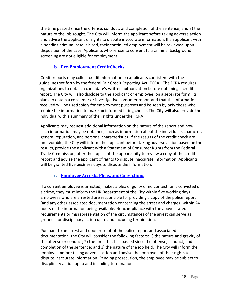the time passed since the offense, conduct, and completion of the sentence; and 3) the nature of the job sought. The City will inform the applicant before taking adverse action and advise the applicant of rights to dispute inaccurate information. If an applicant with a pending criminal case is hired, their continued employment will be reviewed upon disposition of the case. Applicants who refuse to consent to a criminal background screening are not eligible for employment.

# **b. Pre‐Employment CreditChecks**

<span id="page-17-0"></span>Credit reports may collect credit information on applicants consistent with the guidelines set forth by the federal Fair Credit Reporting Act (FCRA). The FCRA requires organizations to obtain a candidate's written authorization before obtaining a credit report. The City will also disclose to the applicant or employee, on a separate form, its plans to obtain a consumer or investigative consumer report and that the information received will be used solely for employment purposes and be seen by only those who require the information to make an informed hiring choice. The City will also provide the individual with a summary of their rights under the FCRA.

Applicants may request additional information on the nature of the report and how such information may be obtained, such as information about the individual's character, general reputation, and personal characteristics. If the results of the credit check are unfavorable, the City will inform the applicant before taking adverse action based on the results, provide the applicant with a Statement of Consumer Rights from the Federal Trade Commission, offer the applicant the opportunity to review a copy of the credit report and advise the applicant of rights to dispute inaccurate information. Applicants will be granted five business days to dispute the information.

# **c. EmployeeArrests,Pleas, andConvictions**

<span id="page-17-1"></span>If a current employee is arrested, makes a plea of guilty or no contest, or is convicted of a crime, they must inform the HR Department of the City within five working days. Employees who are arrested are responsible for providing a copy of the police report (and any other associated documentation concerning the arrest and charges) within 24 hours of the information being available. Noncompliance with the above‐stated requirements or misrepresentation of the circumstances of the arrest can serve as grounds for disciplinary action up to and including termination.

Pursuant to an arrest and upon receipt of the police report and associated documentation, the City will consider the following factors: 1) the nature and gravity of the offense or conduct; 2) the time that has passed since the offense, conduct, and completion of the sentence; and 3) the nature of the job held. The City will inform the employee before taking adverse action and advise the employee of their rights to dispute inaccurate information. Pending prosecution, the employee may be subject to disciplinary action up to and including termination.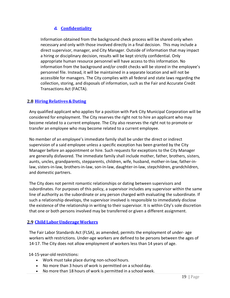# **d. Confidentiality**

<span id="page-18-0"></span>Information obtained from the background check process will be shared only when necessary and only with those involved directly in a final decision. This may include a direct supervisor, manager, and City Manager. Outside of information that may impact a hiring or disciplinary decision, results will be kept strictly confidential. Only appropriate human resource personnel will have access to this information. No information from the background and/or credit checks will be stored in the employee's personnel file. Instead, it will be maintained in a separate location and will not be accessible for managers. The City complies with all federal and state laws regarding the collection, storing, and disposals of information, such as the Fair and Accurate Credit Transactions Act (FACTA).

### <span id="page-18-1"></span>**2.8 HiringRelatives&Dating**

Any qualified applicant who applies for a position with Park City Municipal Corporation will be considered for employment. The City reserves the right not to hire an applicant who may become related to a current employee. The City also reserves the right not to promote or transfer an employee who may become related to a current employee.

No member of an employee's immediate family shall be under the direct or indirect supervision of a said employee unless a specific exception has been granted by the City Manager before an appointment or hire. Such requests for exceptions to the City Manager are generally disfavored. The immediate family shall include mother, father, brothers, sisters, aunts, uncles, grandparents, stepparents, children, wife, husband, mother‐in‐law, father-inlaw, sisters‐in‐law, brothers‐in‐law, son‐in‐law, daughter‐in‐law, stepchildren, grandchildren, and domestic partners.

The City does not permit romantic relationships or dating between supervisors and subordinates. For purposes of this policy, a supervisor includes any supervisor within the same line of authority as the subordinate or any person charged with evaluating the subordinate. If such a relationship develops, the supervisor involved is responsible to immediately disclose the existence of the relationship in writing to their supervisor. It is within City's sole discretion that one or both persons involved may be transferred or given a different assignment.

### <span id="page-18-2"></span>**2.9 Child LaborUnderageWorkers**

The Fair Labor Standards Act (FLSA), as amended, permits the employment of under‐ age workers with restrictions. Under‐age workers are defined to be persons between the ages of 14‐17. The City does not allow employment of workers less than 14 years of age.

14‐15-year-old restrictions:

- Work must take place during non-school hours.
- No more than 3 hours of work is permitted on a school day.
- No more than 18 hours of work is permitted in a school week.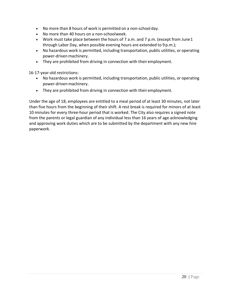- No more than 8 hours of work is permitted on a non-school day.
- No more than 40 hours on a non‐schoolweek.
- Work must take place between the hours of 7 a.m. and 7 p.m. (except from June 1 through Labor Day, when possible evening hours are extended to 9 p.m.);
- No hazardous work is permitted, including transportation, public utilities, or operating power-driven machinery.
- They are prohibited from driving in connection with their employment.

16‐17-year-old restrictions:

- No hazardous work is permitted, including transportation, public utilities, or operating power-driven machinery.
- They are prohibited from driving in connection with their employment.

Under the age of 18, employees are entitled to a meal period of at least 30 minutes, not later than five hours from the beginning of their shift. A rest break is required for minors of at least 10 minutes for every three-hour period that is worked. The City also requires a signed note from the parents or legal guardian of any individual less than 16 years of age acknowledging and approving work duties which are to be submitted by the department with any new hire paperwork.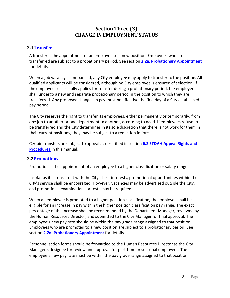# **Section Three (3) CHANGE IN EMPLOYMENT STATUS**

### <span id="page-20-1"></span><span id="page-20-0"></span>**3.1Transfer**

A transfer is the appointment of an employee to a new position. Employees who are transferred are subject to a probationary period. See section **2.2a**. **Probationary Appointment**  for details.

When a job vacancy is announced, any City employee may apply to transfer to the position. All qualified applicants will be considered, although no City employee is ensured of selection. If the employee successfully applies for transfer during a probationary period, the employee shall undergo a new and separate probationary period in the position to which they are transferred. Any proposed changes in pay must be effective the first day of a City established pay period.

The City reserves the right to transfer its employees, either permanently or temporarily, from one job to another or one department to another, according to need. If employees refuse to be transferred and the City determines in its sole discretion that there is not work for them in their current positions, they may be subject to a reduction in force.

Certain transfers are subject to appeal as described in section **6.3 ETDAH Appeal Rights and Procedures** in this manual.

#### <span id="page-20-2"></span>**3.2Promotions**

Promotion is the appointment of an employee to a higher classification or salary range.

Insofar as it is consistent with the City's best interests, promotional opportunities within the City's service shall be encouraged. However, vacancies may be advertised outside the City, and promotional examinations or tests may be required.

When an employee is promoted to a higher position classification, the employee shall be eligible for an increase in pay within the higher position classification pay range. The exact percentage of the increase shall be recommended by the Department Manager, reviewed by the Human Resources Director, and submitted to the City Manager for final approval. The employee's new pay rate should be within the pay grade range assigned to that position. Employees who are promoted to a new position are subject to a probationary period. See section **2.2a. Probationary Appointment** for details.

Personnel action forms should be forwarded to the Human Resources Director as the City Manager's designee for review and approval for part-time or seasonal employees. The employee's new pay rate must be within the pay grade range assigned to that position.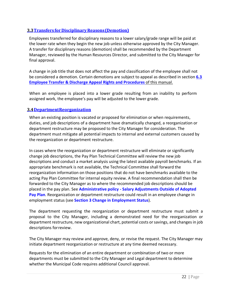### <span id="page-21-0"></span>**3.3Transfers forDisciplinaryReasons(Demotion)**

Employees transferred for disciplinary reasons to a lower salary/grade range will be paid at the lower rate when they begin the new job unless otherwise approved by the City Manager. A transfer for disciplinary reasons (demotion) shall be recommended by the Department Manager, reviewed by the Human Resources Director, and submitted to the City Manager for final approval.

A change in job title that does not affect the pay and classification of the employee shall not be considered a demotion. Certain demotions are subject to appeal as described in section **6.3 Employee Transfer & Discharge Appeal Rights and Procedures** of this manual.

When an employee is placed into a lower grade resulting from an inability to perform assigned work, the employee's pay will be adjusted to the lower grade.

#### <span id="page-21-1"></span>**3.4DepartmentReorganization**

When an existing position is vacated or proposed for elimination or when requirements, duties, and job descriptions of a department have dramatically changed, a reorganization or department restructure may be proposed to the City Manager for consideration. The department must mitigate all potential impacts to internal and external customers caused by the reorganization or department restructure.

In cases where the reorganization or department restructure will eliminate or significantly change job descriptions, the Pay Plan Technical Committee will review the new job descriptions and conduct a market analysis using the latest available payroll benchmarks. If an appropriate benchmark is not available, the Technical Committee shall forward the reorganization information on those positions that do not have benchmarks available to the acting Pay Plan Committee for internal equity review. A final recommendation shall then be forwarded to the City Manager as to where the recommended job descriptions should be placed in the pay plan. See **Administrative policy ‐ Salary Adjustments Outside of Adopted Pay Plan**. Reorganization or department restructure could result in an employee change in employment status (see **Section 3 Change in Employment Status**).

The department requesting the reorganization or department restructure must submit a proposal to the City Manager, including a demonstrated need for the reorganization or department restructure, new organizational chart, potential costs or savings, and changes in job descriptions forreview.

The City Manager may review and approve, deny, or revise the request. The City Manager may initiate department reorganization or restructure at any time deemed necessary.

Requests for the elimination of an entire department or combination of two or more departments must be submitted to the City Manager and Legal department to determine whether the Municipal Code requires additional Council approval.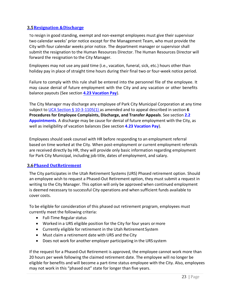### <span id="page-22-0"></span>**3.5Resignation &Discharge**

To resign in good standing, exempt and non‐exempt employees must give their supervisor two calendar weeks' prior notice except for the Management Team, who must provide the City with four calendar weeks prior notice. The department manager or supervisor shall submit the resignation to the Human Resources Director. The Human Resources Director will forward the resignation to the City Manager.

Employees may not use any paid time (i.e., vacation, funeral, sick, etc.) hours other than holiday pay in place of straight time hours during their final two or four-week notice period.

Failure to comply with this rule shall be entered into the personnel file of the employee. It may cause denial of future employment with the City and any vacation or other benefits balance payouts (See section **4.23 Vacation Pay**).

The City Manager may discharge any employee of Park City Municipal Corporation at any time subject to UCA Section § 10‐3‐1105(1) as amended and to appeal described in section **6 Procedures for Employee Complaints, Discharge, and Transfer Appeals**. See section **2.2 Appointments**. A discharge may be cause for denial of future employment with the City, as well as ineligibility of vacation balances (See section **4.23 Vacation Pay**).

Employees should seek counsel with HR before responding to an employment referral based on time worked at the City. When post-employment or current employment referrals are received directly by HR, they will provide only basic information regarding employment for Park City Municipal, including job title, dates of employment, and salary.

#### <span id="page-22-1"></span>**3.6Phased OutRetirement**

The City participates in the Utah Retirement Systems (URS) Phased retirement option. Should an employee wish to request a Phased-Out Retirement option, they must submit a request in writing to the City Manager. This option will only be approved when continued employment is deemed necessary to successful City operations and when sufficient funds available to cover costs.

To be eligible for consideration of this phased out retirement program, employees must currently meet the following criteria:

- Full-Time Regular status
- Worked in a URS eligible position for the City for four years ormore
- Currently eligible for retirement in the Utah Retirement System
- Must claim a retirement date with URS and the City
- Does not work for another employer participating in the URS system

If the request for a Phased-Out Retirement is approved, the employee cannot work more than 20 hours per week following the claimed retirement date. The employee will no longer be eligible for benefits and will become a part-time status employee with the City. Also, employees may not work in this "phased out" state for longer than five years.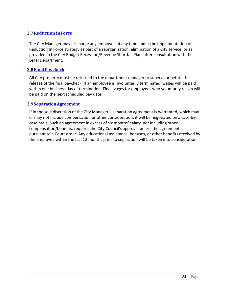### <span id="page-23-0"></span>**3.7Reduction inForce**

The City Manager may discharge any employee at any time under the implementation of a Reduction In Force strategy as part of a reorganization, elimination of a City service, or as provided in the City Budget Recession/Revenue Shortfall Plan, after consultation with the Legal Department.

#### <span id="page-23-1"></span>**3.8FinalPaycheck**

All City property must be returned to the department manager or supervisor before the release of the final paycheck. If an employee is involuntarily terminated, wages will be paid within one business day of termination. Final wages for employees who voluntarily resign will be paid on the next scheduled pay date.

#### <span id="page-23-2"></span>**3.9SeparationAgreement**

If in the sole discretion of the City Manager a separation agreement is warranted, which may or may not include compensation or other consideration, it will be negotiated on a case-bycase basis. Such an agreement in excess of six months' salary, not including other compensation/benefits, requires the City Council's approval unless the agreement is pursuant to a Court order. Any educational assistance, bonuses, or other benefits received by the employee within the last 12 months prior to separation will be taken into consideration.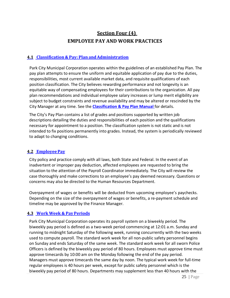# **Section Four (4) EMPLOYEE PAY AND WORK PRACTICES**

### <span id="page-24-1"></span><span id="page-24-0"></span>**4.1 Classification & Pay: Plan andAdministration**

Park City Municipal Corporation operates within the guidelines of an established Pay Plan. The pay plan attempts to ensure the uniform and equitable application of pay due to the duties, responsibilities, most current available market data, and requisite qualifications of each position classification. The City believes rewarding performance and not longevity is an equitable way of compensating employees for their contributions to the organization. All pay plan recommendations and individual employee salary increases or lump merit eligibility are subject to budget constraints and revenue availability and may be altered or rescinded by the City Manager at any time. See the **Classification & Pay Plan Manual** for details.

The City's Pay Plan contains a list of grades and positions supported by written job descriptions detailing the duties and responsibilities of each position and the qualifications necessary for appointment to a position. The classification system is not static and is not intended to fix positions permanently into grades. Instead, the system is periodically reviewed to adapt to changing conditions.

#### <span id="page-24-2"></span>**4.2 EmployeePay**

City policy and practice comply with all laws, both State and Federal. In the event of an inadvertent or improper pay deduction, affected employees are requested to bring the situation to the attention of the Payroll Coordinator immediately. The City will review the case thoroughly and make corrections to an employee's pay deemed necessary. Questions or concerns may also be directed to the Human Resources Department.

Overpayment of wages or benefits will be deducted from upcoming employee's paychecks. Depending on the size of the overpayment of wages or benefits, a re‐payment schedule and timeline may be approved by the Finance Manager.

#### <span id="page-24-3"></span>**4.3 Work Week & PayPeriods**

Park City Municipal Corporation operates its payroll system on a biweekly period. The biweekly pay period is defined as a two‐week period commencing at 12:01 a.m. Sunday and running to midnight Saturday of the following week, running concurrently with the two weeks used to compute payroll. The standard work week for all non‐public safety personnel begins on Sunday and ends Saturday of the same week. The standard work week for all sworn Police Officers is defined by the biweekly pay period of 80 hours. Employees must approve time must approve timecards by 10:00 am on the Monday following the end of the pay period. Managers must approve timecards the same day by noon. The typical work week for full‐time regular employees is 40 hours per week, except for public safety personnel which is the biweekly pay period of 80 hours. Departments may supplement less than 40 hours with the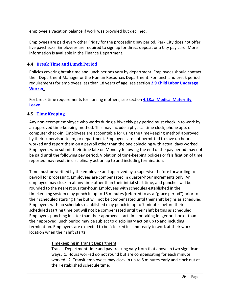employee's Vacation balance if work was provided but declined.

Employees are paid every other Friday for the proceeding pay period. Park City does not offer live paychecks. Employees are required to sign up for direct deposit or a City pay card. More information is available in the Finance Department.

# <span id="page-25-0"></span>**4.4 Break Time and LunchPeriod**

Policies covering break time and lunch periods vary by department. Employees should contact their Department Manager or the Human Resources Department. For lunch and break period requirements for employees less than 18 years of age, see section **2.9 Child Labor Underage Worker.**

For break time requirements for nursing mothers, see section **4.18.a. Medical Maternity Leave.**

### <span id="page-25-1"></span>**4.5 TimeKeeping**

Any non‐exempt employee who works during a biweekly pay period must check in to work by an approved time‐keeping method. This may include a physical time clock, phone app, or computer check-in. Employees are accountable for using the time-keeping method approved by their supervisor, team, or department. Employees are not permitted to save up hours worked and report them on a payroll other than the one coinciding with actual days worked. Employees who submit their time late on Monday following the end of the pay period may not be paid until the following pay period. Violation of time-keeping policies or falsification of time reported may result in disciplinary action up to and includingtermination.

Time must be verified by the employee and approved by a supervisor before forwarding to payroll for processing. Employees are compensated in quarter-hour increments only. An employee may clock in at any time other than their initial start time, and punches will be rounded to the nearest quarter-hour. Employees with schedules established in the timekeeping system may punch in up to 15 minutes (referred to as a "grace period") prior to their scheduled starting time but will not be compensated until their shift begins as scheduled. Employees with no schedules established may punch in up to 7 minutes before their scheduled starting time but will not be compensated until their shift begins as scheduled. Employees punching in later than their approved start time or taking longer or shorter than their approved lunch period may be subject to disciplinary action up to and including termination. Employees are expected to be "clocked in" and ready to work at their work location when their shift starts.

### Timekeeping in Transit Department

Transit Department time and pay tracking vary from that above in two significant ways: 1. Hours worked do not round but are compensating for each minute worked. 2. Transit employees may clock in up to 5 minutes early and clock out at their established schedule time.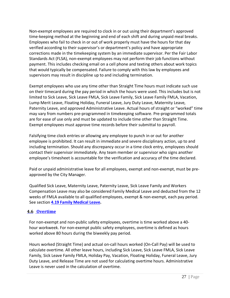Non-exempt employees are required to clock in or out using their department's approved time-keeping method at the beginning and end of each shift and during unpaid meal breaks. Employees who fail to check in or out of work properly must have the hours for that day verified according to their supervisor's or department's policy and have appropriate corrections made in the timekeeping system by an immediate supervisor. Per the Fair Labor Standards Act (FLSA), non‐exempt employees may not perform their job functions without payment. This includes checking email on a cell phone and texting others about work topics that would typically be compensated. Failure to comply with this law by employees and supervisors may result in discipline up to and including termination.

Exempt employees who use any time other than Straight Time hours must indicate such use on their timecard during the pay period in which the hours were used. This includes but is not limited to Sick Leave, Sick Leave FMLA, Sick Leave Family, Sick Leave Family FMLA, Vacation, Lump Merit Leave, Floating Holiday, Funeral Leave, Jury Duty Leave, Maternity Leave, Paternity Leave, and approved Administrative Leave. Actual hours of straight or "worked" time may vary from numbers pre‐programmed in timekeeping software. Pre‐programmed totals are for ease of use only and must be updated to include time other than Straight Time. Exempt employees must approve time records before their submittal to payroll.

Falsifying time clock entries or allowing any employee to punch in or out for another employee is prohibited. It can result in immediate and severe disciplinary action, up to and including termination. Should any discrepancy occur in a time clock entry, employees should contact their supervisor immediately. Any team member or supervisor who signs another employee's timesheet is accountable for the verification and accuracy of the time declared.

Paid or unpaid administrative leave for all employees, exempt and non‐exempt, must be preapproved by the City Manager.

Qualified Sick Leave, Maternity Leave, Paternity Leave, Sick Leave Family and Workers Compensation Leave may also be considered Family Medical Leave and deducted from the 12 weeks of FMLA available to all qualified employees, exempt & non-exempt, each pay period. See section **4.19 Family Medical Leave.**

# <span id="page-26-0"></span>**4.6 Overtime**

For non‐exempt and non-public safety employees, overtime is time worked above a 40‐ hour workweek. For non‐exempt public safety employees, overtime is defined as hours worked above 80 hours during the biweekly pay period.

Hours worked (Straight Time) and actual on‐call hours worked (On-Call Pay) will be used to calculate overtime. All other leave hours, including Sick Leave, Sick Leave FMLA, Sick Leave Family, Sick Leave Family FMLA, Holiday Pay, Vacation, Floating Holiday, Funeral Leave, Jury Duty Leave, and Release Time are not used for calculating overtime hours. Administrative Leave is never used in the calculation of overtime.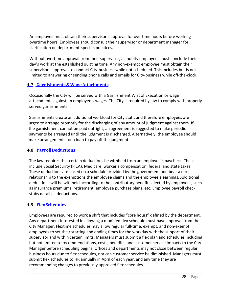An employee must obtain their supervisor's approval for overtime hours before working overtime hours. Employees should consult their supervisor or department manager for clarification on department-specific practices.

Without overtime approval from their supervisor, all hourly employees must conclude their day's work at the established quitting time. Any non‐exempt employee must obtain their supervisor's approval to conduct City-business while not scheduled. This includes but is not limited to answering or sending phone calls and emails for City‐business while off-the-clock.

# <span id="page-27-0"></span>**4.7 Garnishments&WageAttachments**

Occasionally the City will be served with a Garnishment Writ of Execution or wage attachments against an employee's wages. The City is required by law to comply with properly served garnishments.

Garnishments create an additional workload for City staff, and therefore employees are urged to arrange promptly for the discharging of any amount of judgment against them. If the garnishment cannot be paid outright, an agreement is suggested to make periodic payments be arranged until the judgment is discharged. Alternatively, the employee should make arrangements for a loan to pay off the judgment.

### <span id="page-27-1"></span>**4.8 PayrollDeductions**

The law requires that certain deductions be withheld from an employee's paycheck. These include Social Security (FICA), Medicare, worker's compensation, federal and state taxes. These deductions are based on a schedule provided by the government and bear a direct relationship to the exemptions the employee claims and the employee's earnings. Additional deductions will be withheld according to the contributory benefits elected by employees, such as insurance premiums, retirement, employee purchase plans, etc. Employee payroll check stubs detail all deductions.

# <span id="page-27-2"></span>**4.9 FlexSchedules**

Employees are required to work a shift that includes "core hours" defined by the department. Any department interested in allowing a modified flex schedule must have approval from the City Manager. Flextime schedules may allow regular full‐time, exempt, and non‐exempt employees to set their starting and ending times for the workday with the support of their supervisor and within certain limits. Managers must submit a flex plan and schedules including but not limited to recommendations, costs, benefits, and customer service impacts to the City Manager before scheduling begins. Offices and departments may not close between regular business hours due to flex schedules, nor can customer service be diminished. Managers must submit flex schedules to HR annually in April of each year, and any time they are recommending changes to previously approved flex schedules.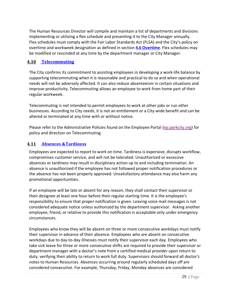The Human Resources Director will compile and maintain a list of departments and divisions implementing or utilizing a flex schedule and presenting it to the City Manager annually. Flex schedules must comply with the Fair Labor Standards Act (FLSA) and the City's policy on overtime and workweek designation as defined in section **4.6 Overtime**. Flex schedules may be modified or rescinded at any time by the department manager or City Manager.

# <span id="page-28-0"></span>**4.10 Telecommuting**

The City confirms its commitment to assisting employees in developing a work‐life balance by supporting telecommuting when it is reasonable and practical to do so and when operational needs will not be adversely affected. It can also reduce absenteeism in certain situations and improve productivity. Telecommuting allows an employee to work from home part of their regular workweek.

Telecommuting is not intended to permit employees to work at other jobs or run other businesses. According to City needs, it is not an entitlement or a City-wide benefit and can be altered or terminated at any time with or without notice.

Please refer to the Administrative Policies found on the Employee Portal (ep.parkcity.org) for policy and direction on Telecommuting.

# <span id="page-28-1"></span>**4.11 Absences &Tardiness**

Employees are expected to report to work on time. Tardiness is expensive, disrupts workflow, compromises customer service, and will not be tolerated. Unauthorized or excessive absences or tardiness may result in disciplinary action up to and including termination. An absence is unauthorized if the employee has not followed proper notification procedures or the absence has not been properly approved. Unsatisfactory attendance may also harm any promotional opportunities.

If an employee will be late or absent for any reason, they shall contact their supervisor or their designee at least one hour before their regular starting time. It is the employee's responsibility to ensure that proper notification is given. Leaving voice mail messages is not considered adequate notice unless authorized by the department supervisor. Asking another employee, friend, or relative to provide this notification is acceptable only under emergency circumstances.

Employees who know they will be absent on three or more consecutive workdays must notify their supervisor in advance of their absence. Employees who are absent on consecutive workdays due to day-to-day illnesses must notify their supervisor each day. Employees who take sick leave for three or more consecutive shifts are required to provide their supervisor or department manager with a doctor's note from a certified medical provider upon return to duty, verifying their ability to return to work full duty. Supervisors should forward all doctor's notes to Human Resources. Absences occurring around regularly scheduled days off are considered consecutive. For example, Thursday, Friday, Monday absences are considered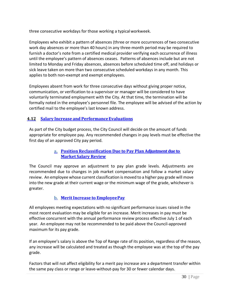three consecutive workdays for those working a typicalworkweek.

Employees who exhibit a pattern of absences (three or more occurrences of two consecutive work day absences or more than 40 hours) in any three‐month period may be required to furnish a doctor's note from a certified medical provider verifying each occurrence of illness until the employee's pattern of absences ceases. Patterns of absences include but are not limited to Monday and Friday absences, absences before scheduled time off, and holidays or sick leave taken on more than two consecutive scheduled workdays in any month. This applies to both non‐exempt and exempt employees.

Employees absent from work for three consecutive days without giving proper notice, communication, or verification to a supervisor or manager will be considered to have voluntarily terminated employment with the City. At that time, the termination will be formally noted in the employee's personnel file. The employee will be advised of the action by certified mail to the employee's last known address.

# <span id="page-29-0"></span>**4.12 Salary Increase and PerformanceEvaluations**

As part of the City budget process, the City Council will decide on the amount of funds appropriate for employee pay. Any recommended changes in pay levels must be effective the first day of an approved City pay period.

### **a. Position Reclassification Due to Pay Plan Adjustmentdue to Market Salary Review**

<span id="page-29-1"></span>The Council may approve an adjustment to pay plan grade levels. Adjustments are recommended due to changes in job market compensation and follow a market salary review. An employee whose current classification is moved to a higher pay grade will move into the new grade at their current wage or the minimum wage of the grade, whichever is greater.

### **b. MeritIncrease to EmployeePay**

<span id="page-29-2"></span>All employees meeting expectations with no significant performance issues raised in the most recent evaluation may be eligible for an increase. Merit increases in pay must be effective concurrent with the annual performance review process effective July 1 of each year. An employee may not be recommended to be paid above the Council-approved maximum for its pay grade.

If an employee's salary is above the Top of Range rate of its position, regardless of the reason, any increase will be calculated and treated as though the employee was at the top of the pay grade.

Factors that will not affect eligibility for a merit pay increase are a department transfer within the same pay class or range or leave‐without‐pay for 30 or fewer calendar days.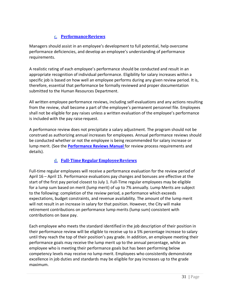# **c. PerformanceReviews**

<span id="page-30-0"></span>Managers should assist in an employee's development to full potential, help overcome performance deficiencies, and develop an employee's understanding of performance requirements.

A realistic rating of each employee's performance should be conducted and result in an appropriate recognition of individual performance. Eligibility for salary increases within a specific job is based on how well an employee performs during any given review period. It is, therefore, essential that performance be formally reviewed and proper documentation submitted to the Human Resources Department.

All written employee performance reviews, including self‐evaluations and any actions resulting from the review, shall become a part of the employee's permanent personnel file. Employees shall not be eligible for pay raises unless a written evaluation of the employee's performance is included with the pay raise request.

A performance review does not precipitate a salary adjustment. The program should not be construed as authorizing annual increases for employees. Annual performance reviews should be conducted whether or not the employee is being recommended for salary increase or lump merit. (See the **Performance Reviews Manual** for review process requirements and details).

# **d. Full‐TimeRegularEmployeeReviews**

<span id="page-30-1"></span>Full-time regular employees will receive a performance evaluation for the review period of April 16 – April 15. Performance evaluations pay changes and bonuses are effective at the start of the first pay period closest to July 1. Full‐Time regular employees may be eligible for a lump sum based on merit (lump merit) of up to 7% annually. Lump Merits are subject to the following: completion of the review period, a performance which exceeds expectations, budget constraints, and revenue availability. The amount of the lump merit will not result in an increase in salary for that position. However, the City will make retirement contributions on performance lump merits (lump sum) consistent with contributions on base pay.

Each employee who meets the standard identified in the job description of their position in their performance review will be eligible to receive up to a 5% percentage increase to salary until they reach the top of their position's pay grade. In addition, an employee meeting their performance goals may receive the lump merit up to the annual percentage, while an employee who is meeting their performance goals but has been performing below competency levels may receive no lump merit. Employees who consistently demonstrate excellence in job duties and standards may be eligible for pay increases up to the grade maximum.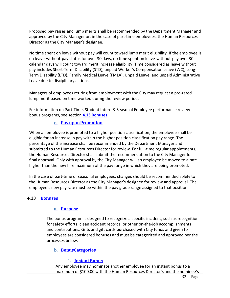Proposed pay raises and lump merits shall be recommended by the Department Manager and approved by the City Manager or, in the case of part‐time employees, the Human Resources Director as the City Manager's designee.

No time spent on leave without pay will count toward lump merit eligibility. If the employee is on leave‐without‐pay status for over 30 days, no time spent on leave‐without‐pay over 30 calendar days will count toward merit increase eligibility. Time considered as leave without pay includes Short‐Term Disability (STD), unpaid Worker's Compensation Leave (WC), Long‐ Term Disability (LTD), Family Medical Leave (FMLA), Unpaid Leave, and unpaid Administrative Leave due to disciplinary actions.

Managers of employees retiring from employment with the City may request a pro-rated lump merit based on time worked during the review period.

<span id="page-31-0"></span>For information on Part-Time, Student Intern & Seasonal Employee performance review bonus programs, see section **4.13 Bonuses**.

### **e. PayuponPromotion**

When an employee is promoted to a higher position classification, the employee shall be eligible for an increase in pay within the higher position classification pay range. The percentage of the increase shall be recommended by the Department Manager and submitted to the Human Resources Director for review. For full-time regular appointments, the Human Resources Director shall submit the recommendation to the City Manager for final approval. Only with approval by the City Manager will an employee be moved to a rate higher than the new hire maximum of the pay range in which they are being promoted.

In the case of part‐time or seasonal employees, changes should be recommended solely to the Human Resources Director as the City Manager's designee for review and approval. The employee's new pay rate must be within the pay grade range assigned to that position.

#### <span id="page-31-2"></span><span id="page-31-1"></span>**4.13 Bonuses**

#### **a. Purpose**

The bonus program is designed to recognize a specific incident, such as recognition for safety efforts, clean accident records, or other on‐the‐job accomplishments and contributions. Gifts and gift cards purchased with City funds and given to employees are considered bonuses and must be categorized and approved per the processes below.

### <span id="page-31-4"></span><span id="page-31-3"></span>**b. BonusCategories**

### **1. InstantBonus**

Any employee may nominate another employee for an instant bonus to a maximum of \$100.00 with the Human Resources Director's and the nominee's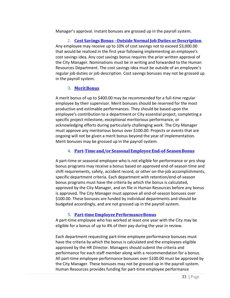Manager's approval. Instant bonuses are grossed up in the payroll system.

2. **Cost Savings Bonus ‐ Outside Normal Job Duties or Description**  Any employee may receive up to 10% of cost savings not to exceed \$3,000.00 that would be realized in the first year following implementing an employee's cost savings idea. Any cost savings bonus requires the prior written approval of the City Manager. Nominations must be in writing and forwarded to the Human Resources Department. The cost savings idea must be outside of an employee's regular job duties or job description. Cost savings bonuses may not be grossed up in the payroll system.

# **3. MeritBonus**

<span id="page-32-0"></span>A merit bonus of up to \$400.00 may be recommended for a full‐time regular employee by their supervisor. Merit bonuses should be reserved for the most productive and estimable performances. They should be based upon the employee's contribution to a department or City essential project, completing a specific project milestone, exceptional meritorious performance, or acknowledging efforts during particularly challenging work. The City Manager must approve any meritorious bonus over \$100.00. Projects or events that are ongoing will not be given a merit bonus beyond the year of implementation. Merit bonuses may be grossed up in the payroll system.

### **4. Part‐Time and/or SeasonalEmployee End‐of‐SeasonBonus**

<span id="page-32-1"></span>A part‐time or seasonal employee who is not eligible for performance or pro shop bonus programs may receive a bonus based on approved end-of-season time and shift requirements, safety, accident record, or other on-the-job accomplishments, specific department criteria. Each department with retention/end-of-season bonus programs must have the criteria by which the bonus is calculated, approved by the City Manager, and on file in Human Resources before any bonus is approved. The City Manager must approve all end-of-season bonuses over \$100.00. These bonuses are funded by individual departments and should be budgeted accordingly, and are not grossed up in the payroll system.

### **5. Part‐timeEmployeePerformanceBonus**

<span id="page-32-2"></span>A part-time employee who has worked at least one year with the City may be eligible for a bonus of up to 4% of their pay during the year in review.

Each department requesting part‐time employee performance bonuses must have the criteria by which the bonus is calculated and the employees eligible approved by the HR Director. Managers should submit the criteria and performance for each staff member along with a recommendation for a bonus. All part-time employee performance bonuses over \$100.00 must be approved by the City Manager. These bonuses may not be grossed up in the payroll system. Human Resources provides funding for part‐time employee performance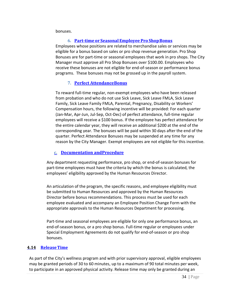bonuses.

### **6. Part‐time or Seasonal Employee Pro ShopBonus**

<span id="page-33-0"></span>Employees whose positions are related to merchandise sales or services may be eligible for a bonus based on sales or pro shop revenue generation. Pro Shop Bonuses are for part‐time or seasonal employees that work in pro shops. The City Manager must approve all Pro Shop Bonuses over \$100.00. Employees who receive these bonuses are not eligible for end-of-season or performance bonus programs. These bonuses may not be grossed up in the payroll system.

### **7. Perfect AttendanceBonus**

<span id="page-33-1"></span>To reward full‐time regular, non‐exempt employees who have been released from probation and who do not use Sick Leave, Sick Leave FMLA, Sick Leave Family, Sick Leave Family FMLA, Parental, Pregnancy, Disability or Workers' Compensation hours, the following incentive will be provided: For each quarter (Jan‐Mar, Apr‐Jun, Jul‐Sep, Oct‐Dec) of perfect attendance, full‐time regular employees will receive a \$100 bonus. If the employee has perfect attendance for the entire calendar year, they will receive an additional \$200 at the end of the corresponding year. The bonuses will be paid within 30 days after the end of the quarter. Perfect Attendance Bonuses may be suspended at any time for any reason by the City Manager. Exempt employees are not eligible for this incentive.

#### **c. Documentation andProcedure**

<span id="page-33-2"></span>Any department requesting performance, pro shop, or end‐of‐season bonuses for part-time employees must have the criteria by which the bonus is calculated, the employees' eligibility approved by the Human Resources Director.

An articulation of the program, the specific reasons, and employee eligibility must be submitted to Human Resources and approved by the Human Resources Director before bonus recommendations. This process must be used for each employee evaluated and accompany an [Employee Position Change Form](https://pclaserfiche.parkcity.org/Forms/Home/StartProcess#/processes) with the appropriate approvals to the Human Resources Department for processing.

Part-time and seasonal employees are eligible for only one performance bonus, an end‐of‐season bonus, or a pro shop bonus. Full‐time regular or employees under Special Employment Agreements do not qualify for end‐of‐season or pro shop bonuses.

### <span id="page-33-3"></span>**4.14 ReleaseTime**

As part of the City's wellness program and with prior supervisory approval, eligible employees may be granted periods of 30 to 60 minutes, up to a maximum of 90 total minutes per week, to participate in an approved physical activity. Release time may only be granted during an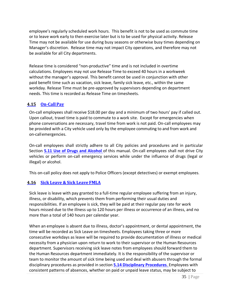employee's regularly scheduled work hours. This benefit is not to be used as commute time or to leave work early to then exercise later but is to be used for physical activity. Release Time may not be available for use during busy seasons or otherwise busy times depending on Manager's discretion. Release time may not impact City operations, and therefore may not be available for all City departments.

Release time is considered "non‐productive" time and is not included in overtime calculations. Employees may not use Release Time to exceed 40 hours in a workweek without the manager's approval. This benefit cannot be used in conjunction with other paid benefit time such as vacation, sick leave, family sick leave, etc., within the same workday. Release Time must be pre‐approved by supervisors depending on department needs. This time is recorded as Release Time on timesheets.

# <span id="page-34-0"></span>**4.15 On‐CallPay**

On‐call employees shall receive \$18.00 per day and a minimum of two hours' pay if called out. Upon callout, travel time is paid to commute to a work site. Except for emergencies when phone conversations are necessary, travel time from work is not paid. On‐call employees may be provided with a City vehicle used only by the employee commuting to and from work and on‐callemergencies.

On‐call employees shall strictly adhere to all City policies and procedures and in particular Section **5.11 Use of Drugs and Alcohol** of this manual. On‐call employees shall not drive City vehicles or perform on‐call emergency services while under the influence of drugs (legal or illegal) or alcohol.

This on‐call policy does not apply to Police Officers (except detectives) or exempt employees.

# <span id="page-34-1"></span>**4.16 Sick Leave & Sick Leave FMLA**

Sick leave is leave with pay granted to a full‐time regular employee suffering from an injury, illness, or disability, which prevents them from performing their usual duties and responsibilities. If an employee is sick, they will be paid at their regular pay rate for work hours missed due to the illness up to 120 hours per illness or occurrence of an illness, and no more than a total of 140 hours per calendar year.

When an employee is absent due to illness, doctor's appointment, or dental appointment, the time will be recorded as Sick Leave on timesheets. Employees taking three or more consecutive workdays as leave will be required to provide documentation of illness or medical necessity from a physician upon return to work to their supervisor or the Human Resources department. Supervisors receiving sick leave notes from employees should forward them to the Human Resources department immediately. It is the responsibility of the supervisor or team to monitor the amount of sick time being used and deal with abusers through the formal disciplinary procedures as provided in section **5.14 Disciplinary Procedures**. Employees with consistent patterns of absences, whether on paid or unpaid leave status, may be subject to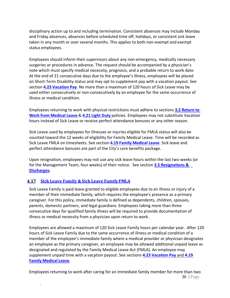disciplinary action up to and including termination. Consistent absences may include Monday and Friday absences, absences before scheduled time off, holidays, or consistent sick leave taken in any month or over several months. This applies to both non‐exempt and exempt status employees.

Employees should inform their supervisors about any non‐emergency, medically necessary surgeries or procedures in advance. The request should be accompanied by a physician's note which must specify medical necessity, prognosis, and a probable return to work date. At the end of 21 consecutive days due to the employee's illness, employees will be placed on Short‐Term Disability status and may opt to supplement pay with a vacation payout. See section **4.23 Vacation Pay**. No more than a maximum of 120 hours of Sick Leave may be used either consecutively or non‐consecutively by an employee for the same occurrence of illness or medical condition.

Employees returning to work with physical restrictions must adhere to sections **3.2 Return to Work from Medical Leave** & **4.21 Light Duty** policies. Employees may not substitute Vacation hours instead of Sick Leave or receive perfect attendance bonuses or any other reason.

Sick Leave used by employees for illnesses or injuries eligible for FMLA status will also be counted toward the 12 weeks of eligibility for Family Medical Leave. Time will be recorded as Sick Leave FMLA on timesheets. See section **4.19 Family Medical Leave**. Sick leave and perfect attendance bonuses are part of the City's core benefits package.

Upon resignation, employees may not use any sick leave hours within the last two weeks (or for the Management Team, four weeks) of their notice. See section **3.5 Resignations & Discharges.**

# <span id="page-35-0"></span>**4.17 Sick Leave Family & Sick Leave FamilyFMLA**

Sick Leave Family is paid leave granted to eligible employees due to an illness or injury of a member of their immediate family, which requires the employee's presence as a primary caregiver. For this policy, immediate family is defined as dependents, children, spouses, parents, domestic partners, and legal guardians. Employees taking more than three consecutive days for qualified family illness will be required to provide documentation of illness or medical necessity from a physician upon return to work.

Employees are allowed a maximum of 120 Sick Leave Family hours per calendar year. After 120 hours of Sick Leave Family due to the same occurrence of illness or medical condition of a member of the employee's immediate family where a medical provider or physician designates an employee as the primary caregiver, an employee may be allowed additional unpaid leave as designated and regulated by the Family Medical Leave Act (FMLA). An employee may supplement unpaid time with a vacation payout. See sections **4.23 Vacation Pay** and **4.19 Family Medical Leave**.

36 | Page Employees returning to work after caring for an immediate family member for more than two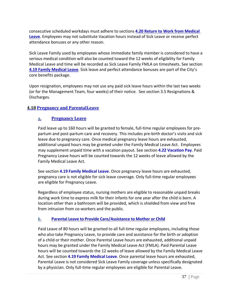consecutive scheduled workdays must adhere to sections **4.20 Return to Work from Medical Leave**. Employees may not substitute Vacation hours instead of Sick Leave or receive perfect attendance bonuses or any other reason.

Sick Leave Family used by employees whose immediate family member is considered to have a serious medical condition will also be counted toward the 12 weeks of eligibility for Family Medical Leave and time will be recorded as Sick Leave Family FMLA on timesheets. See section **4.19 Family Medical Leave**. Sick leave and perfect attendance bonuses are part of the City's core benefits package.

Upon resignation, employees may not use any paid sick leave hours within the last two weeks (or for the Management Team, four weeks) of their notice. See section 3.5 Resignations & Discharges.

### **4.18 Pregnancy and ParentalLeave**

#### **a. Pregnancy Leave**

Paid leave up to 160 hours will be granted to female, full-time regular employees for prepartum and post-partum care and recovery. This includes pre-birth doctor's visits and sick leave due to pregnancy care. Once medical pregnancy leave hours are exhausted, additional unpaid hours may be granted under the Family Medical Leave Act. Employees may supplement unpaid time with a vacation payout. See section **4.22 Vacation Pay**. Paid Pregnancy Leave hours will be counted towards the 12 weeks of leave allowed by the Family Medical Leave Act.

See section **4.19 Family Medical Leave**. Once pregnancy leave hours are exhausted, pregnancy care is not eligible for sick leave coverage. Only full‐time regular employees are eligible for Pregnancy Leave.

Regardless of employee status, nursing mothers are eligible to reasonable unpaid breaks during work time to express milk for their infants for one year after the child is born. A location other than a bathroom will be provided, which is shielded from view and free from intrusion from co-workers and the public.

#### **b. Parental Leave to Provide Care/Assistance to Mother or Child**

Paid Leave of 80 hours will be granted to all full‐time regular employees, including those who also take Pregnancy Leave, to provide care and assistance for the birth or adoption of a child or their mother. Once Parental Leave hours are exhausted, additional unpaid hours may be granted under the Family Medical Leave Act (FMLA). Paid Parental Leave hours will be counted towards the 12 weeks of leave allowed by the Family Medical Leave Act. See section **4.19 Family Medical Leave**. Once parental leave hours are exhausted, Parental Leave is not considered Sick Leave Family coverage unless specifically designated by a physician. Only full-time regular employees are eligible for Parental Leave.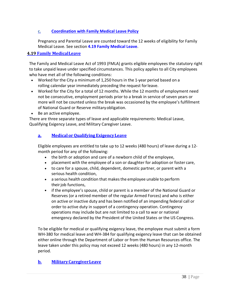### **c. Coordination with Family Medical Leave Policy**

Pregnancy and Parental Leave are counted toward the 12 weeks of eligibility for Family Medical Leave. See section **4.19 Family Medical Leave**.

### **4.19 Family MedicalLeave**

The Family and Medical Leave Act of 1993 (FMLA) grants eligible employees the statutory right to take unpaid leave under specified circumstances. This policy applies to all City employees who have met all of the following conditions:

- Worked for the City a minimum of 1,250 hours in the 1-year period based on a rolling calendar year immediately preceding the request forleave.
- Worked for the City for a total of 12 months. While the 12 months of employment need not be consecutive, employment periods prior to a break in service of seven years or more will not be counted unless the break was occasioned by the employee's fulfillment of National Guard or Reserve militaryobligation.
- Be an active employee.

There are three separate types of leave and applicable requirements: Medical Leave, Qualifying Exigency Leave, and Military Caregiver Leave.

### **a. Medical orQualifying ExigencyLeave**

Eligible employees are entitled to take up to 12 weeks (480 hours) of leave during a 12‐ month period for any of the following:

- the birth or adoption and care of a newborn child of the employee,
- placement with the employee of a son or daughter for adoption or foster care,
- to care for a spouse, child, dependent, domestic partner, or parent with a serious health condition,
- a serious health condition that makes the employee unable to perform their job functions,
- if the employee's spouse, child or parent is a member of the National Guard or Reserves (or a retired member of the regular Armed Forces) and who is either on active or inactive duty and has been notified of an impending federal call or order to active duty in support of a contingency operation. Contingency operations may include but are not limited to a call to war or national emergency declared by the President of the United States or the US Congress.

To be eligible for medical or qualifying exigency leave, the employee must submit a form WH-380 for medical leave and WH-384 for qualifying exigency leave that can be obtained either online through the Department of Labor or from the Human Resources office. The leave taken under this policy may not exceed 12 weeks (480 hours) in any 12‐month period.

# **b. MilitaryCaregiverLeave**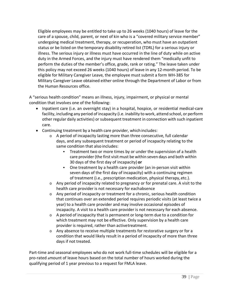Eligible employees may be entitled to take up to 26 weeks (1040 hours) of leave for the care of a spouse, child, parent, or next of kin who is a "covered military service member" undergoing medical treatment, therapy, or recuperation, who must have an outpatient status or be listed on the temporary disability retired list (TDRL) for a serious injury or illness. The serious injury or illness must have occurred in the line of duty while on active duty in the Armed Forces, and the injury must have rendered them "medically unfit to perform the duties of the member's office, grade, rank or rating." The leave taken under this policy may not exceed 26 weeks (1040 hours) of leave in any 12‐month period. To be eligible for Military Caregiver Leave, the employee must submit a form WH-385 for Military Caregiver Leave obtained either online through the Department of Labor or from the Human Resources office.

A "serious health condition" means an illness, injury, impairment, or physical or mental condition that involves one of the following:

- Inpatient care (i.e. an overnight stay) in a hospital, hospice, or residential medical‐care facility, including any period of incapacity (i.e. inability to work, attend school, or perform other regular daily activities) or subsequent treatment in connection with such inpatient care.
- Continuing treatment by a health care provider, whichincludes:
	- o A period of incapacity lasting more than three consecutive, full calendar days, and any subsequent treatment or period of incapacity relating to the same condition that also includes:
		- **Treatment two or more times by or under the supervision of a health** care provider (the first visit must be within seven days and both within 30 days of the first day of incapacity) **or**
		- One treatment by a health care provider (an in-person visit within seven days of the first day of incapacity) with a continuing regimen of treatment (i.e., prescription medication, physical therapy,etc.).
	- $\circ$  Any period of incapacity related to pregnancy or for prenatal care. A visit to the health care provider is not necessary for eachabsence
	- o Any period of incapacity or treatment for a chronic, serious health condition that continues over an extended period requires periodic visits (at least twice a year) to a health care provider and may involve occasional episodes of incapacity. A visit to a health care provider is not necessary for each absence.
	- o A period of incapacity that is permanent or long‐term due to a condition for which treatment may not be effective. Only supervision by a health care provider is required, rather than activetreatment.
	- o Any absence to receive multiple treatments for restorative surgery or for a condition that would likely result in a period of incapacity of more than three days if not treated.

Part-time and seasonal employees who do not work full-time schedules will be eligible for a pro‐rated amount of leave hours based on the total number of hours worked during the qualifying period of 1 year previous to a request for FMLA leave.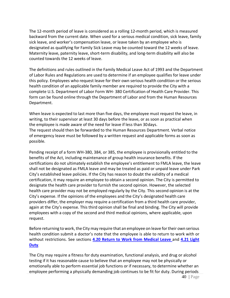The 12‐month period of leave is considered as a rolling 12‐month period, which is measured backward from the current date. When used for a serious medical condition, sick leave, family sick leave, and worker's compensation leave, or leave taken by an employee who is designated as qualifying for Family Sick Leave may be counted toward the 12 weeks of leave. Maternity leave, paternity leave, short-term disability, and long-term disability will also be counted towards the 12 weeks of leave.

The definitions and rules outlined in the Family Medical Leave Act of 1993 and the Department of Labor Rules and Regulations are used to determine if an employee qualifies for leave under this policy. Employees who request leave for their own serious health condition or the serious health condition of an applicable family member are required to provide the City with a complete U.S. Department of Labor Form WH‐ 380 Certification of Health Care Provider. This form can be found online through the Department of Labor and from the Human Resources Department.

When leave is expected to last more than five days, the employee must request the leave, in writing, to their supervisor at least 30 days before the leave, or as soon as practical when the employee is made aware of the need for leave if less than 30days. The request should then be forwarded to the Human Resources Department. Verbal notice of emergency leave must be followed by a written request and applicable forms as soon as possible.

Pending receipt of a form WH-380, 384, or 385, the employee is provisionally entitled to the benefits of the Act, including maintenance of group health insurance benefits. If the certifications do not ultimately establish the employee's entitlement to FMLA leave, the leave shall not be designated as FMLA leave and may be treated as paid or unpaid leave under Park City's established leave policies. If the City has reason to doubt the validity of a medical certification, it may require an employee to obtain a second opinion. The City is permitted to designate the health care provider to furnish the second opinion. However, the selected health care provider may not be employed regularly by the City. This second opinion is at the City's expense. If the opinions of the employees and the City's designated health care providers differ, the employer may require a certification from a third health care provider, again at the City's expense. This third opinion shall be final and binding. The City will provide employees with a copy of the second and third medical opinions, where applicable, upon request.

Before returning to work, the City may require that an employee on leave for their own serious health condition submit a doctor's note that the employee is able to return to work with or without restrictions. See sections **4.20 Return to Work from Medical Leave** and **4.21 Light Duty**.

The City may require a fitness for duty examination, functional analysis, and drug or alcohol testing if it has reasonable cause to believe that an employee may not be physically or emotionally able to perform essential job functions or if necessary, to determine whether an employee performing a physically demanding job continues to be fit for duty. During periods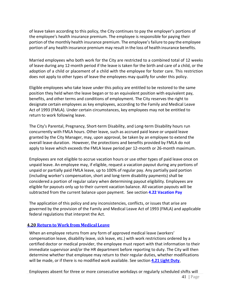of leave taken according to this policy, the City continues to pay the employer's portions of the employee's health insurance premium. The employee is responsible for paying their portion of the monthly health insurance premium. The employee'sfailure to pay the employee portion of any health insurance premium may result in the loss of health insurance benefits.

Married employees who both work for the City are restricted to a combined total of 12 weeks of leave during any 12‐month period if the leave is taken for the birth and care of a child, or the adoption of a child or placement of a child with the employee for foster care. This restriction does not apply to other types of leave the employees may qualify for under this policy.

Eligible employees who take leave under this policy are entitled to be restored to the same position they held when the leave began or to an equivalent position with equivalent pay, benefits, and other terms and conditions of employment. The City reserves the right to designate certain employees as key employees, according to the Family and Medical Leave Act of 1993 (FMLA). Under certain circumstances, key employees may not be entitled to return to work following leave.

The City's Parental, Pregnancy, Short‐term Disability, and Long‐term Disability hours run concurrently with FMLA hours. Other leave, such as accrued paid leave or unpaid leave granted by the City Manager, may, upon approval, be taken by an employee to extend the overall leave duration. However, the protections and benefits provided by FMLA do not apply to leave which exceeds the FMLA leave period per 12‐month or 26‐month maximum.

Employees are not eligible to accrue vacation hours or use other types of paid leave once on unpaid leave. An employee may, if eligible, request a vacation payout during any portions of unpaid or partially paid FMLA leave, up to 100% of regular pay. Any partially paid portion (including worker's compensation, short and long-term disability payments) shall be considered a portion of regular salary when determining payout eligibility. Employees are eligible for payouts only up to their current vacation balance. All vacation payouts will be subtracted from the current balance upon payment. See section **4.22 Vacation Pay**

The application of this policy and any inconsistencies, conflicts, or issues that arise are governed by the provision of the Family and Medical Leave Act of 1993 (FMLA) and applicable federal regulations that interpret the Act.

### **4.20 Return to Work from MedicalLeave**

When an employee returns from any form of approved medical leave (workers' compensation leave, disability leave, sick leave, etc.) with work restrictions ordered by a certified doctor or medical provider, the employee must report with that information to their immediate supervisor and/or the HR department before reporting to duty. The City will then determine whether that employee may return to their regular duties, whether modifications will be made, or if there is no modified work available. See section **4.21 Light Duty**.

41 | Page Employees absent for three or more consecutive workdays or regularly scheduled shifts will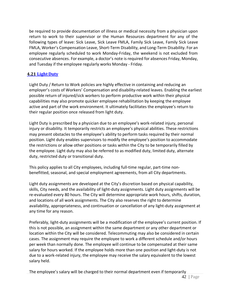be required to provide documentation of illness or medical necessity from a physician upon return to work to their supervisor or the Human Resources department for any of the following types of leave: Sick Leave, Sick Leave FMLA, Family Sick Leave, Family Sick Leave FMLA, Worker's Compensation Leave, Short‐Term Disability, and Long‐Term Disability. For an employee regularly scheduled to work Monday‐Friday, the weekend is not excluded from consecutive absences. For example, a doctor's note is required for absences Friday, Monday, and Tuesday if the employee regularly works Monday - Friday.

### **4.21 Light Duty**

Light Duty / Return to Work policies are highly effective in containing and reducing an employer's costs of Workers' Compensation and disability-related leaves. Enabling the earliest possible return of injured/sick workers to perform productive work within their physical capabilities may also promote quicker employee rehabilitation by keeping the employee active and part of the work environment. It ultimately facilitates the employee's return to their regular position once released from light duty.

Light Duty is prescribed by a physician due to an employee's work-related injury, personal injury or disability. It temporarily restricts an employee's physical abilities. These restrictions may present obstacles to the employee's ability to perform tasks required by their normal position. Light duty enables supervisors to modify the employee's position to accommodate the restrictions or allow other positions or tasks within the City to be temporarily filled by the employee. Light duty may also be referred to as modified duty, limited duty, alternate duty, restricted duty or transitional duty.

This policy applies to all City employees, including full-time regular, part-time nonbenefitted, seasonal, and special employment agreements, from all City departments.

Light duty assignments are developed at the City's discretion based on physical capability, skills, City needs, and the availability of light-duty assignments. Light duty assignments will be re-evaluated every 80 hours. The City will determine appropriate work hours, shifts, duration, and locations of all work assignments. The City also reserves the right to determine availability, appropriateness, and continuation or cancellation of any light-duty assignment at any time for any reason.

Preferably, light-duty assignments will be a modification of the employee's current position. If this is not possible, an assignment within the same department or any other department or location within the City will be considered. Telecommuting may also be considered in certain cases. The assignment may require the employee to work a different schedule and/or hours per week than normally done. The employee will continue to be compensated at their same salary for hours worked. If the employee holds more than one position and light-duty is not due to a work-related injury, the employee may receive the salary equivalent to the lowest salary held.

42 | Page The employee's salary will be charged to their normal department even if temporarily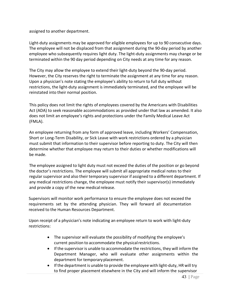assigned to another department.

Light-duty assignments may be approved for eligible employees for up to 90 consecutive days. The employee will not be displaced from that assignment during the 90‐day period by another employee who subsequently requires light duty. The light-duty assignments may change or be terminated within the 90 day period depending on City needs at any time for any reason.

The City may allow the employee to extend their light-duty beyond the 90-day period. However, the City reserves the right to terminate the assignment at any time for any reason. Upon a physician's note stating the employee's ability to return to full duty without restrictions, the light-duty assignment is immediately terminated, and the employee will be reinstated into their normal position.

This policy does not limit the rights of employees covered by the Americans with Disabilities Act (ADA) to seek reasonable accommodations as provided under that law as amended. It also does not limit an employee's rights and protections under the Family Medical Leave Act (FMLA).

An employee returning from any form of approved leave, including Workers' Compensation, Short or Long-Term Disability, or Sick Leave with work restrictions ordered by a physician must submit that information to their supervisor before reporting to duty. The City will then determine whether that employee may return to their duties or whether modifications will be made.

The employee assigned to light duty must not exceed the duties of the position or go beyond the doctor's restrictions. The employee will submit all appropriate medical notes to their regular supervisor and also their temporary supervisor if assigned to a different department. If any medical restrictions change, the employee must notify their supervisor(s) immediately and provide a copy of the new medical release.

Supervisors will monitor work performance to ensure the employee does not exceed the requirements set by the attending physician. They will forward all documentation received to the Human Resources Department.

Upon receipt of a physician's note indicating an employee return to work with light-duty restrictions:

- The supervisor will evaluate the possibility of modifying the employee's current position to accommodate the physical restrictions.
- If the supervisor is unable to accommodate the restrictions, they will inform the Department Manager, who will evaluate other assignments within the department for temporary placement.
- If the department is unable to provide the employee with light-duty, HR will try to find proper placement elsewhere in the City and will inform the supervisor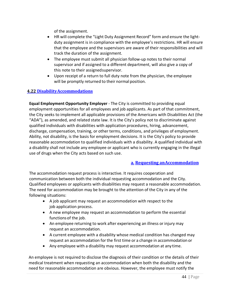of the assignment.

- HR will complete the "Light Duty Assignment Record" form and ensure the lightduty assignment is in compliance with the employee's restrictions. HR will ensure that the employee and the supervisors are aware of their responsibilities and will track the duration of the assignment.
- The employee must submit all physician follow-up notes to their normal supervisor and if assigned to a different department, will also give a copy of this note to their assignedsupervisor.
- Upon receipt of a return to full duty note from the physician, the employee will be promptly returned to their normal position.

### **4.22 DisabilityAccommodations**

**Equal Employment Opportunity Employer** ‐ The City is committed to providing equal employment opportunities for all employees and job applicants. As part of that commitment, the City seeks to implement all applicable provisions of the Americans with Disabilities Act (the "ADA"), as amended, and related state law. It is the City's policy not to discriminate against qualified individuals with disabilities with application procedures, hiring, advancement, discharge, compensation, training, or other terms, conditions, and privileges of employment. Ability, not disability, is the basis for employment decisions. It is the City's policy to provide reasonable accommodation to qualified individuals with a disability. A qualified individual with a disability shall not include any employee or applicant who is currently engaging in the illegal use of drugs when the City acts based on such use.

### **a. Requesting anAccommodation**

The accommodation request process is interactive. It requires cooperation and communication between both the individual requesting accommodation and the City. Qualified employees or applicants with disabilities may request a reasonable accommodation. The need for accommodation may be brought to the attention of the City in any of the following situations:

- A job applicant may request an accommodation with respect to the job application process.
- A new employee may request an accommodation to perform the essential functionsof the job.
- An employee returning to work after experiencing an illness or injury may request an accommodation.
- A current employee with a disability whose medical condition has changed may request an accommodation for the first time or a change in accommodation or
- Any employee with a disability may request accommodation at any time.

An employee is not required to disclose the diagnosis of their condition or the details of their medical treatment when requesting an accommodation when both the disability and the need for reasonable accommodation are obvious. However, the employee must notify the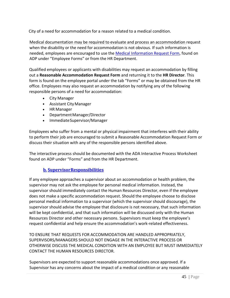City of a need for accommodation for a reason related to a medical condition.

Medical documentation may be required to evaluate and process an accommodation request when the disability or the need for accommodation is not obvious. If such information is needed, employees are encouraged to use the [Medical Information Request Form,](https://pclaserfiche.parkcity.org/Forms/Home/StartProcess#/processes) found on ADP under "Employee Forms" or from the HR Department.

Qualified employees or applicants with disabilities may request an accommodation by filling out a **Reasonable Accommodation Request Form** and returning it to the **HR Director**. This form is found on the employee portal under the tab "Forms" or may be obtained from the HR office. Employees may also request an accommodation by notifying any of the following responsible persons of a need for accommodation:

- City Manager
- Assistant CityManager
- HR Manager
- Department Manager/Director
- ImmediateSupervisor/Manager

Employees who suffer from a mental or physical impairment that interferes with their ability to perform their job are encouraged to submit a Reasonable Accommodation Request Form or discuss their situation with any of the responsible persons identified above.

The interactive process should be documented with the ADA Interactive Process Worksheet found on ADP under "Forms" and from the HR Department.

### **b. SupervisorResponsibilities**

If any employee approaches a supervisor about an accommodation or health problem, the supervisor may not ask the employee for personal medical information. Instead, the supervisor should immediately contact the Human Resources Director, even if the employee does not make a specific accommodation request. Should the employee choose to disclose personal medical information to a supervisor (which the supervisor should discourage), the supervisor should advise the employee that disclosure is not necessary, that such information will be kept confidential, and that such information will be discussed only with the Human Resources Director and other necessary persons. Supervisors must keep the employee's request confidential and help ensure the accommodation's work‐related effectiveness.

TO ENSURE THAT REQUESTS FOR ACCOMMODATION ARE HANDLED APPROPRIATELY, SUPERVISORS/MANAGERS SHOULD NOT ENGAGE IN THE INTERACTIVE PROCESS OR OTHERWISE DISCUSS THE MEDICAL CONDITION WITH AN EMPLOYEE BUT MUST IMMEDIATELY CONTACT THE HUMAN RESOURCES DIRECTOR.

Supervisors are expected to support reasonable accommodations once approved. If a Supervisor has any concerns about the impact of a medical condition or any reasonable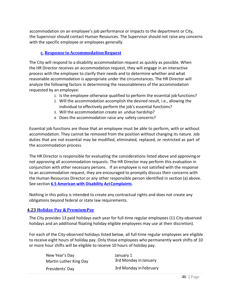accommodation on an employee's job performance or impacts to the department or City, the Supervisor should contact Human Resources. The Supervisor should not raise any concerns with the specific employee or employees generally.

### **c. Response toAccommodationRequest**

The City will respond to a disability accommodation request as quickly as possible. When the HR Director receives an accommodation request, they will engage in an interactive process with the employee to clarify their needs and to determine whether and what reasonable accommodation is appropriate under the circumstances. The HR Director will analyze the following factors in determining the reasonableness of the accommodation requested by an employee:

- 1. Is the employee otherwise qualified to perform the essential job functions?
- 2. Will the accommodation accomplish the desired result, i.e., allowing the individual to effectively perform the job's essential functions?
- 3. Will the accommodation create an undue hardship?
- 4. Does the accommodation raise any safety concerns?

Essential job functions are those that an employee must be able to perform, with or without accommodation. They cannot be removed from the position without changing its nature. Job duties that are not essential may be modified, eliminated, replaced, or restricted as part of the accommodation process.

The HR Director is responsible for evaluating the considerations listed above and approvingor not approving all accommodation requests. The HR Director may perform this evaluation in conjunction with other necessary persons. If an employee is not satisfied with the response to an accommodation request, they are encouraged to promptly discuss their concerns with the Human Resources Director or any other responsible person identified in section (a) above. See section **6.5 American with Disability ActComplaints**.

Nothing in this policy is intended to create any contractual rights and does not create any obligations beyond federal or state law requirements.

### **4.23 Holiday Pay & PremiumPay**

The City provides 13 paid holidays each year for full‐time regular employees (11 City‐observed holidays and an additional floating holiday eligible employees may use at their discretion).

For each of the City‐observed holidays listed below, all full‐time regular employees are eligible to receive eight hours of holiday pay. Only those employees who permanently work shifts of 10 or more hour shifts will be eligible to receive 10 hours of holiday pay.

| New Year's Day         | January 1              |
|------------------------|------------------------|
| Martin Luther King Day | 3rd Monday in January  |
| Presidents' Day        | 3rd Monday in February |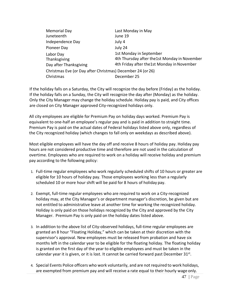| <b>Memorial Day</b>                                        | Last Monday in May                            |  |
|------------------------------------------------------------|-----------------------------------------------|--|
| Juneteenth                                                 | June 19                                       |  |
| Independence Day                                           | July 4                                        |  |
| Pioneer Day                                                | July 24                                       |  |
| Labor Day                                                  | 1st Monday in September                       |  |
| Thanksgiving                                               | 4th Thursday after the 1st Monday in November |  |
| Day after Thanksgiving                                     | 4th Friday after the1st Monday in November    |  |
| Christmas Eve (or Day after Christmas) December 24 (or 26) |                                               |  |
| Christmas                                                  | December 25                                   |  |

If the holiday falls on a Saturday, the City will recognize the day before (Friday) as the holiday. If the holiday falls on a Sunday, the City will recognize the day after (Monday) as the holiday. Only the City Manager may change the holiday schedule. Holiday pay is paid, and City offices are closed on City Manager approved City-recognized holidays only.

All city employees are eligible for Premium Pay on holiday days worked. Premium Pay is equivalent to one-half an employee's regular pay and is paid in addition to straight time. Premium Pay is paid on the actual dates of Federal holidays listed above only, regardless of the City recognized holiday (which changes to fall only on weekdays as described above).

Most eligible employees will have the day off and receive 8 hours of holiday pay. Holiday pay hours are not considered productive time and therefore are not used in the calculation of overtime. Employees who are required to work on a holiday will receive holiday and premium pay according to the following policy:

- 1. Full-time regular employees who work regularly scheduled shifts of 10 hours or greater are eligible for 10 hours of holiday pay. Those employees working less than a regularly scheduled 10 or more hour shift will be paid for 8 hours of holiday pay.
- 2. Exempt, full-time regular employees who are required to work on a City-recognized holiday may, at the City Manager's or department manager's discretion, be given but are not entitled to administrative leave at another time for working the recognized holiday. Holiday is only paid on those holidays recognized by the City and approved by the City Manager. Premium Pay is only paid on the holiday dates listed above.
- 3. In addition to the above list of City‐observed holidays, full‐time regular employees are granted an 8 hour "Floating Holiday," which can be taken at their discretion with the supervisor's approval. New employees must be released from probation and have six months left in the calendar year to be eligible for the floating holiday. The floating holiday is granted on the first day of the year to eligible employees and must be taken in the calendar year it is given, or it is lost. It cannot be carried forward past December  $31^{st}$ .
- 4. Special Events Police officers who work voluntarily, and are not required to work holidays, are exempted from premium pay and will receive a rate equal to their hourly wage only.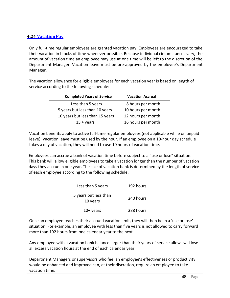### **4.24 VacationPay**

Only full-time regular employees are granted vacation pay. Employees are encouraged to take their vacation in blocks of time whenever possible. Because individual circumstances vary, the amount of vacation time an employee may use at one time will be left to the discretion of the Department Manager. Vacation leave must be pre‐approved by the employee's Department Manager.

The vacation allowance for eligible employees for each vacation year is based on length of service according to the following schedule:

| <b>Completed Years of Service</b> | <b>Vacation Accrual</b> |
|-----------------------------------|-------------------------|
| Less than 5 years                 | 8 hours per month       |
| 5 years but less than 10 years    | 10 hours per month      |
| 10 years but less than 15 years   | 12 hours per month      |
| $15 + \gamma$ ears                | 16 hours per month      |

Vacation benefits apply to active full‐time regular employees (not applicable while on unpaid leave). Vacation leave must be used by the hour. If an employee on a 10‐hour day schedule takes a day of vacation, they will need to use 10 hours of vacation time.

Employees can accrue a bank of vacation time before subject to a "use or lose" situation. This bank will allow eligible employees to take a vacation longer than the number of vacation days they accrue in one year. The size of vacation bank is determined by the length of service of each employee according to the following schedule:

| Less than 5 years                 | 192 hours |
|-----------------------------------|-----------|
| 5 years but less than<br>10 years | 240 hours |
| $10+$ years                       | 288 hours |

Once an employee reaches their accrued vacation limit, they will then be in a 'use or lose' situation. For example, an employee with less than five years is not allowed to carry forward more than 192 hours from one calendar year to the next.

Any employee with a vacation bank balance larger than their years of service allows will lose all excess vacation hours at the end of each calendar year.

Department Managers or supervisors who feel an employee's effectiveness or productivity would be enhanced and improved can, at their discretion, require an employee to take vacation time.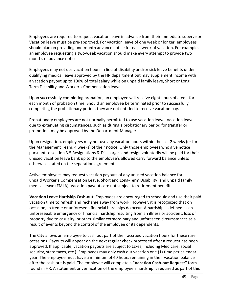Employees are required to request vacation leave in advance from their immediate supervisor. Vacation leave must be pre‐approved. For vacation leave of one week or longer, employees should plan on providing one-month advance notice for each week of vacation. For example, an employee requesting a two-week vacation should make every attempt to provide two months of advance notice.

Employees may not use vacation hours in lieu of disability and/or sick leave benefits under qualifying medical leave approved by the HR department but may supplement income with a vacation payout up to 100% of total salary while on unpaid family leave, Short or Long Term Disability and Worker's Compensation leave.

Upon successfully completing probation, an employee will receive eight hours of credit for each month of probation time. Should an employee be terminated prior to successfully completing the probationary period, they are not entitled to receive vacation pay.

Probationary employees are not normally permitted to use vacation leave. Vacation leave due to extenuating circumstances, such as during a probationary period for transfer or promotion, may be approved by the Department Manager.

Upon resignation, employees may not use any vacation hours within the last 2 weeks (or for the Management Team, 4 weeks) of their notice. Only those employees who give notice pursuant to section 3.5 Resignations & Discharges and resign voluntarily will be paid for their unused vacation leave bank up to the employee's allowed carry forward balance unless otherwise stated on the separation agreement.

Active employees may request vacation payouts of any unused vacation balance for unpaid Worker's Compensation Leave, Short and Long‐Term Disability, and unpaid family medical leave (FMLA). Vacation payouts are not subject to retirement benefits.

**Vacation Leave Hardship Cash‐out:** Employees are encouraged to schedule and use their paid vacation time to refresh and recharge away from work. However, it is recognized that on occasion, extreme or unforeseen financial hardships do occur. A hardship is defined as an unforeseeable emergency or financial hardship resulting from an illness or accident, loss of property due to casualty, or other similar extraordinary and unforeseen circumstances as a result of events beyond the control of the employee or its dependents.

The City allows an employee to cash out part of their accrued vacation hours for these rare occasions. Payouts will appear on the next regular check processed after a request has been approved. If applicable, vacation payouts are subject to taxes, including Medicare, social security, state taxes, etc.). Employees may only cash out vacation one (1) time per calendar year. The employee must have a minimum of 40 hours remaining in their vacation balance after the cash out is paid. The employee will complete a **"Vacation Cash‐out Request"** form found in HR. A statement or verification of the employee's hardship is required as part of this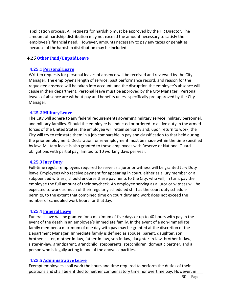application process. All requests for hardship must be approved by the HR Director. The amount of hardship distribution may not exceed the amount necessary to satisfy the employee's financial need. However, amounts necessary to pay any taxes or penalties because of the hardship distribution may be included.

#### **4.25 Other Paid/UnpaidLeave**

#### **4.25.1 PersonalLeave**

Written requests for personal leaves of absence will be received and reviewed by the City Manager. The employee's length of service, past performance record, and reason for the requested absence will be taken into account, and the disruption the employee's absence will cause in their department. Personal leave must be approved by the City Manager. Personal leaves of absence are without pay and benefits unless specifically pre‐approved by the City Manager.

#### **4.25.2 MilitaryLeave**

The City will adhere to any federal requirements governing military service, military personnel, and military families. Should the employee be inducted or ordered to active duty in the armed forces of the United States, the employee will retain seniority and, upon return to work, the City will try to reinstate them in a job comparable in pay and classification to that held during the prior employment. Declaration for re‐employment must be made within the time specified by law. Military leave is also granted to those employees with Reserve or National Guard obligations with partial pay, limited to 10 working days per year.

#### **4.25.3 Jury Duty**

Full-time regular employees required to serve as a juror or witness will be granted Jury Duty leave.Employees who receive payment for appearing in court, either as a jury member or a subpoenaed witness, should endorse these payments to the City, who will, in turn, pay the employee the full amount of their paycheck. An employee serving as a juror or witness will be expected to work as much of their regularly scheduled shift as the court duty schedule permits, to the extent that combined time on court duty and work does not exceed the number of scheduled work hours for thatday.

#### **4.25.4 Funeral Leave**

Funeral Leave will be granted for a maximum of five days or up to 40 hours with pay in the event of the death in an employee's immediate family. In the event of a non‐immediate family member, a maximum of one day with pay may be granted at the discretion of the Department Manager. Immediate family is defined as spouse, parent, daughter, son, brother, sister, mother‐in‐law, father‐in‐law, son‐in‐law, daughter‐in‐law, brother‐in‐law, sister-in-law, grandparent, grandchild, stepparents, stepchildren, domestic partner, and a person who is legally acting in one of the above capacities.

#### **4.25.5 AdministrativeLeave**

Exempt employees shall work the hours and time required to perform the duties of their positions and shall be entitled to neither compensatory time nor overtime pay. However, in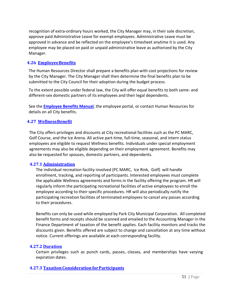recognition of extra‐ordinary hours worked, the City Manager may, in their sole discretion, approve paid Administrative Leave for exempt employees. Administrative Leave must be approved in advance and be reflected on the employee's timesheet anytime it is used. Any employee may be placed on paid or unpaid administrative leave as authorized by the City Manager.

#### **4.26 EmployeeBenefits**

The Human Resources Director shall prepare a benefits plan with cost projections for review by the City Manager. The City Manager shall then determine the final benefits plan to be submitted to the City Council for their adoption during the budget process.

To the extent possible under federal law, the City will offer equal benefits to both same- and different-sex domestic partners of its employees and their legal dependents.

See the **Employee Benefits Manual**, the employee portal, or contact Human Resources for details on all City benefits.

### **4.27 WellnessBenefit**

The City offers privileges and discounts at City recreational facilities such as the PC MARC, Golf Course, and the Ice Arena. All active part-time, full-time, seasonal, and intern status employees are eligible to request Wellness benefits. Individuals under special employment agreements may also be eligible depending on their employment agreement. Benefits may also be requested for spouses, domestic partners, and dependents.

#### **4.27.1 Administration**

The individual recreation facility involved (PC MARC, Ice Rink, Golf) will handle enrollment, tracking, and reporting of participants. Interested employees must complete the applicable Wellness agreements and forms in the facility offering the program. HR will regularly inform the participating recreational facilities of active employees to enroll the employee according to their specific procedures. HR will also periodically notify the participating recreation facilities of terminated employees to cancel any passes according to their procedures.

Benefits can only be used while employed by Park City Municipal Corporation. All completed benefit forms and receipts should be scanned and emailed to the Accounting Manager in the Finance Department of taxation of the benefit applies. Each facility monitors and tracks the discounts given. Benefits offered are subject to change and cancellation at any time without notice. Current offerings are available at each corresponding facility.

#### **4.27.2 Duration**

Certain privileges such as punch cards, passes, classes, and memberships have varying expiration dates.

#### **4.27.3 TaxationConsiderationforParticipants**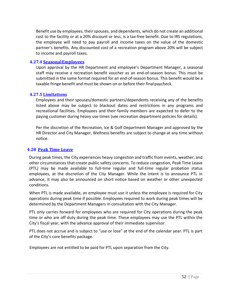Benefit use by employees, their spouses, and dependents, which do not create an additional cost to the facility or at a 20% discount or less, is a tax-free benefit. Due to IRS regulations, the employee will need to pay payroll and income taxes on the value of the domestic partner's benefits. Any discounted cost of a recreation program above 20% will be subject to income and payroll taxes.

#### **4.27.4 SeasonalEmployees**

Upon approval by the HR Department and employee's Department Manager, a seasonal staff may receive a recreation benefit voucher as an end-of-season bonus. This must be submitted in the same format required for an end-of-season bonus. This benefit would be a taxable fringe benefit and must be shown on or before their finalpaycheck.

### **4.27.5 Limitations**

Employees and their spouses/domestic partners/dependents receiving any of the benefits listed above may be subject to blackout dates and restrictions in any programs and recreational facilities. Employees and their family members are expected to defer to the paying customer during heavy use times (see recreation department policies for details).

Per the discretion of the Recreation, Ice & Golf Department Manager and approved by the HR Director and City Manager, Wellness benefits are subject to change at any time without notice.

### **4.28 Peak Time Leave**

During peak times, the City experiences heavy congestion and traffic from events, weather, and other circumstances that create public safety concerns. To reduce congestion, Peak Time Leave (PTL) may be made available to full‐time regular and full‐time regular probation status employees, at the discretion of the City Manager. While the intent is to announce PTL in advance, it may also be announced on short notice based on weather or other unexpected conditions.

When PTL is made available, an employee must use it unless the employee is required for City operations during peak time if possible. Employees required to work during peak times will be determined by the Department Managers in consultation with the City Manager.

PTL only carries forward for employees who are required for City operations during the peak time or who are off duty during the peak time. These employees may use the PTL within the City's fiscal year, with the advance approval of their immediate supervisor.

PTL does not accrue and is subject to "use or lose" at the end of the calendar year. PTL is part of the City's core benefits package.

Employees are not entitled to be paid for PTL upon separation from the City.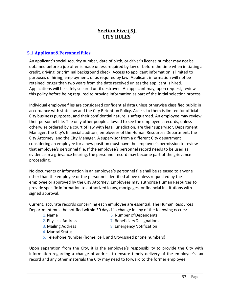# **Section Five (5) CITY RULES**

### **5.1 Applicant&PersonnelFiles**

An applicant's social security number, date of birth, or driver's license number may not be obtained before a job offer is made unless required by law or before the time when initiating a credit, driving, or criminal background check. Access to applicant information is limited to purposes of hiring, employment, or as required by law. Applicant information will not be retained longer than two years from the date received unless the applicant is hired. Applications will be safely secured until destroyed. An applicant may, upon request, review this policy before being required to provide information as part of the initial selection process.

Individual employee files are considered confidential data unless otherwise classified public in accordance with state law and the City Retention Policy. Access to them is limited for official City business purposes, and their confidential nature is safeguarded. An employee may review their personnel file. The only other people allowed to see the employee's records, unless otherwise ordered by a court of law with legal jurisdiction, are their supervisor, Department Manager, the City's financial auditors, employees of the Human Resources Department, the City Attorney, and the City Manager. A supervisor from a different City department considering an employee for a new position must have the employee's permission to review that employee's personnel file. If the employee's personnel record needs to be used as evidence in a grievance hearing, the personnel record may become part of the grievance proceeding.

No documents or information in an employee's personnel file shall be released to anyone other than the employee or the personnel identified above unless requested by the employee or approved by the City Attorney. Employees may authorize Human Resources to provide specific information to authorized loans, mortgages, or financial institutions with signed approval.

Current, accurate records concerning each employee are essential. The Human Resources Department must be notified within 30 days if a change in any of the following occurs:

- -
- 
- 
- 1. Name 6. Number of Dependents
- 2. Physical Address 2. Beneficiary Designations
- 3. Mailing Address 8. Emergency Notification
- 4. Marital Status
- 5. Telephone Number (home, cell, and City‐issued phone numbers)

Upon separation from the City, it is the employee's responsibility to provide the City with information regarding a change of address to ensure timely delivery of the employee's tax record and any other materials the City may need to forward to the former employee.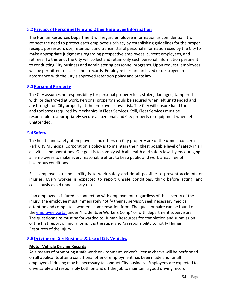### **5.2PrivacyofPersonnelFile andOtherEmployeeInformation**

The Human Resources Department will regard employee information as confidential. It will respect the need to protect each employee's privacy by establishing guidelines for the proper receipt, possession, use, retention, and transmittal of personal information used by the City to make appropriate judgments regarding prospective employees, current employees, and retirees. To this end, the City will collect and retain only such personal information pertinent to conducting City business and administering personnel programs. Upon request, employees will be permitted to access their records. Employee files are archived or destroyed in accordance with the City's approved retention policy and Statelaw.

### **5.3PersonalProperty**

The City assumes no responsibility for personal property lost, stolen, damaged, tampered with, or destroyed at work. Personal property should be secured when left unattended and are brought on City property at the employee's own risk. The City will ensure hand tools and toolboxes required by mechanics in Fleet Services. Still, Fleet Services must be responsible to appropriately secure all personal and City property or equipment when left unattended.

### **5.4Safety**

The health and safety of employees and others on City property are of the utmost concern. Park City Municipal Corporation's policy is to maintain the highest possible level of safety in all activities and operations. Our goal is to comply with all health and safety laws by encouraging all employees to make every reasonable effort to keep public and work areas free of hazardous conditions.

Each employee's responsibility is to work safely and do all possible to prevent accidents or injuries. Every worker is expected to report unsafe conditions, think before acting, and consciously avoid unnecessary risk.

If an employee is injured in connection with employment, regardless of the severity of the injury, the employee must immediately notify their supervisor, seek necessary medical attention and complete a workers' compensation form. The questionnaire can be found on the employee portal under "Incidents & Workers Comp" or with department supervisors. The questionnaire must be forwarded to Human Resources for completion and submission of the first report of injury form. It is the supervisor's responsibility to notify Human Resources of the injury.

### **5.5Driving on City Business & Use of CityVehicles**

#### **Motor Vehicle Driving Records**

As a means of promoting a safe work environment, driver's license checks will be performed on all applicants after a conditional offer of employment has been made and for all employees if driving may be necessary to conduct City business. Employees are expected to drive safely and responsibly both on and off the job to maintain a good driving record.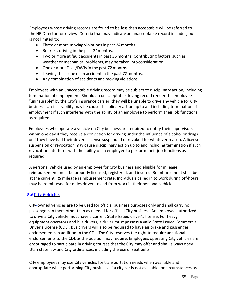Employees whose driving records are found to be less than acceptable will be referred to the HR Director for review. Criteria that may indicate an unacceptable record includes, but is not limited to:

- Three or more moving violations in past 24months.
- Reckless driving in the past 24months.
- Two or more at fault accidents in past 36 months. Contributing factors, such as weather or mechanical problems, may be taken into consideration.
- One or more DUIs/DWIs in the past 72 months.
- Leaving the scene of an accident in the past 72months.
- Any combination of accidents and moving violations.

Employees with an unacceptable driving record may be subject to disciplinary action, including termination of employment. Should an unacceptable driving record render the employee "uninsurable" by the City's insurance carrier, they will be unable to drive any vehicle for City business. Un-insurability may be cause disciplinary action up to and including termination of employment if such interferes with the ability of an employee to perform their job functions as required.

Employees who operate a vehicle on City business are required to notify their supervisors within one day if they receive a conviction for driving under the influence of alcohol or drugs or if they have had their driver's license suspended or revoked for whatever reason. A license suspension or revocation may cause disciplinary action up to and including termination if such revocation interferes with the ability of an employee to perform their job functions as required.

A personal vehicle used by an employee for City business and eligible for mileage reimbursement must be properly licensed, registered, and insured. Reimbursement shall be at the current IRS mileage reimbursement rate. Individuals called in to work during off-hours may be reimbursed for miles driven to and from work in their personal vehicle.

#### **5.6CityVehicles**

City-owned vehicles are to be used for official business purposes only and shall carry no passengers in them other than as needed for official City business. An employee authorized to drive a City vehicle must have a current State Issued driver's license. For heavy equipment operators and bus drivers, a driver must possess a valid State Issued Commercial Driver's License (CDL). Bus drivers will also be required to have air brake and passenger endorsements in addition to the CDL. The City reserves the right to require additional endorsements to the CDL as the position may require. Employees operating City vehicles are encouraged to participate in driving courses that the City may offer and shall always obey Utah state law and City ordinances, including the use of seat belts.

City employees may use City vehicles for transportation needs when available and appropriate while performing City business. If a city car is not available, or circumstances are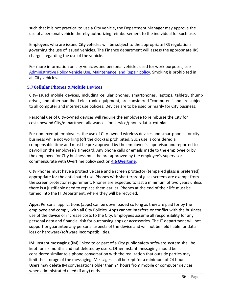such that it is not practical to use a City vehicle, the Department Manager may approve the use of a personal vehicle thereby authorizing reimbursement to the individual for such use.

Employees who are issued City vehicles will be subject to the appropriate IRS regulations governing the use of issued vehicles. The Finance department will assess the appropriate IRS charges regarding the use of the vehicle.

For more information on city vehicles and personal vehicles used for work purposes, see Administrative Policy Vehicle Use, Maintenance, and Repair policy. Smoking is prohibited in all City vehicles.

#### **5.7Cellular Phones &Mobile Devices**

City-issued mobile devices, including cellular phones, smartphones, laptops, tablets, thumb drives, and other handheld electronic equipment, are considered "computers" and are subject to all computer and internet use policies. Devices are to be used primarily for City business.

Personal use of City‐owned devices will require the employee to reimburse the City for costs beyond City/department allowances for service/phone/data/text plans.

For non‐exempt employees, the use of City‐owned wireless devices and smartphones for city business while not working (off the clock) is prohibited. Such use is considered a compensable time and must be pre-approved by the employee's supervisor and reported to payroll on the employee's timecard. Any phone calls or emails made to the employee or by the employee for City business must be pre‐approved by the employee's supervisor commensurate with Overtime policy section **4.6 Overtime**.

City Phones must have a protective case and a screen protector (tempered glass is preferred) appropriate for the anticipated use. Phones with shatterproof glass screens are exempt from the screen protector requirement. Phones are expected to last a minimum of two years unless there is a justifiable need to replace them earlier. Phones at the end of their life must be turned into the IT Department, where they will be recycled.

**Apps:** Personal applications (apps) can be downloaded so long as they are paid for by the employee and comply with all City Policies. Apps cannot interfere or conflict with the business use of the device or increase costs to the City. Employees assume all responsibility for any personal data and financial risk for purchasing apps or accessories. The IT department will not support or guarantee any personal aspects of the device and will not be held liable for data loss or hardware/software incompatibilities.

**IM:** Instant messaging (IM) linked to or part of a City public safety software system shall be kept for six months and not deleted by users. Other instant messaging should be considered similar to a phone conversation with the realization that outside parties may limit the storage of the messaging. Messages shall be kept for a minimum of 24 hours. Users may delete IM conversations older than 24 hours from mobile or computer devices when administrated need (if any) ends.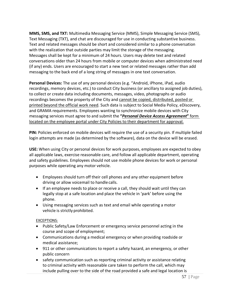**MMS, SMS, and TXT:** Multimedia Messaging Service (MMS), Simple Messaging Service (SMS), Text Messaging (TXT), and chat are discouraged for use in conducting substantive business. Text and related messages should be short and considered similar to a phone conversation with the realization that outside parties may limit the storage of the messaging. Messages shall be kept for a minimum of 24 hours. Users may delete text and related conversations older than 24 hours from mobile or computer devices when administrated need (if any) ends. Users are encouraged to start a new text or related messages rather than add messaging to the back end of a long string of messages in one text conversation.

**Personal Devices:** The use of any personal devices (e.g. "Android, iPhone, iPad, audio recordings, memory devices, etc.) to conduct City business (or ancillary to assigned job duties), to collect or create data including documents, messages, video, photographs or audio recordings becomes the property of the City and cannot be copied, distributed, posted or printed beyond the official work need. Such data is subject to Social Media Policy, eDiscovery, and GRAMA requirements. Employees wanting to synchronize mobile devices with City messaging services must agree to and submit the **"***Personal Device Access Agreement***"** form located on the employee portal under City Policies to their department for approval.

**PIN:** Policies enforced on mobile devices will require the use of a security pin. If multiple failed login attempts are made (as determined by the software), data on the device will be erased.

**USE:** When using City or personal devices for work purposes, employees are expected to obey all applicable laws, exercise reasonable care, and follow all applicable department, operating and safety guidelines. Employees should not use mobile phone devices for work or personal purposes while operating any motor vehicle.

- Employees should turn off their cell phones and any other equipment before driving or allow voicemail to handlecalls.
- If an employee needs to place or receive a call, they should wait until they can legally stop at a safe location and place the vehicle in 'park' before using the phone.
- Using messaging services such as text and email while operating a motor vehicle is strictly prohibited.

#### EXCEPTIONS:

- Public Safety/Law Enforcement or emergency service personnel acting in the course and scope of employment;
- Communications during a medical emergency or when providing roadside or medical assistance;
- 911 or other communications to report a safety hazard, an emergency, or other public concern
- safety communication such as reporting criminal activity or assistance relating to criminal activity with reasonable care taken to perform the call, which may include pulling over to the side of the road provided a safe and legal location is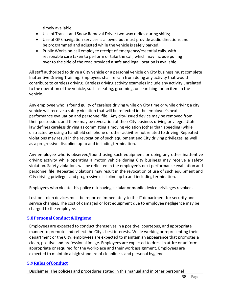timely available;

- Use of Transit and Snow Removal Driver two‐way radios during shifts;
- Use of GPS navigation services is allowed but must provide audio directions and be programmed and adjusted while the vehicle is safely parked;
- Public Works on‐call employee receipt of emergency/essential calls, with reasonable care taken to perform or take the call, which may include pulling over to the side of the road provided a safe and legal location is available.

All staff authorized to drive a City vehicle or a personal vehicle on City business must complete Inattentive Driving Training. Employees shall refrain from doing any activity that would contribute to careless driving. Careless driving activity examples include any activity unrelated to the operation of the vehicle, such as eating, grooming, or searching for an item in the vehicle.

Any employee who is found guilty of careless driving while on City time or while driving a city vehicle will receive a safety violation that will be reflected in the employee's next performance evaluation and personnel file. Any city-issued device may be removed from their possession, and there may be revocation of their City business driving privilege. Utah law defines careless driving as committing a moving violation (other than speeding) while distracted by using a handheld cell phone or other activities not related to driving. Repeated violations may result in the revocation of such equipment and City driving privileges, as well as a progressive discipline up to and includingtermination.

Any employee who is observed/found using such equipment or doing any other inattentive driving activity while operating a motor vehicle during City business may receive a safety violation. Safety violations will be reflected in the employee's next performance evaluation and personnel file. Repeated violations may result in the revocation of use of such equipment and City driving privileges and progressive discipline up to and including termination.

Employees who violate this policy risk having cellular or mobile device privileges revoked.

Lost or stolen devices must be reported immediately to the IT department for security and service changes. The cost of damaged or lost equipment due to employee negligence may be charged to the employee.

### **5.8PersonalConduct &Hygiene**

Employees are expected to conduct themselves in a positive, courteous, and appropriate manner to promote and reflect the City's best interests. While working or representing their department or the City, employees are expected to maintain an appearance that promotes a clean, positive and professional image. Employees are expected to dress in attire or uniform appropriate or required for the workplace and their work assignment. Employees are expected to maintain a high standard of cleanliness and personal hygiene.

### **5.9Rules ofConduct**

Disclaimer: The policies and procedures stated in this manual and in other personnel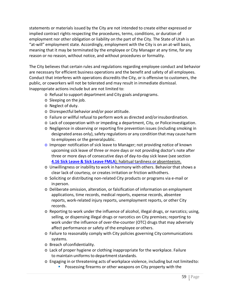statements or materials issued by the City are not intended to create either expressed or implied contract rights respecting the procedures, terms, conditions, or duration of employment nor other obligation or liability on the part of the City. The State of Utah is an "at-will" employment state. Accordingly, employment with the City is on an at‐will basis, meaning that it may be terminated by the employee or City Manager at any time, for any reason or no reason, without notice, and without procedures or formality.

The City believes that certain rules and regulations regarding employee conduct and behavior are necessary for efficient business operations and the benefit and safety of all employees. Conduct that interferes with operations discredits the City, or is offensive to customers, the public, or coworkers will not be tolerated and may result in immediate dismissal. Inappropriate actions include but are not limited to:

- o Refusal to support department and City goals andprograms.
- o Sleeping on the job.
- o Neglect of duty.
- o Disrespectful behavior and/or poor attitude.
- o Failure or willful refusal to perform work as directed and/orinsubordination.
- o Lack of cooperation with or impeding a department, City, or Policeinvestigation.
- o Negligence in observing or reporting fire prevention issues (including smoking in designated areas only), safety regulations or any condition that may cause harm to employees or the generalpublic.
- o Improper notification of sick leave to Manager; not providing notice of known upcoming sick leave of three or more days or not providing doctor's note after three or more days of consecutive days of day‐to‐day sick leave (see section **4.16 Sick Leave & Sick Leave FMLA**); habitual tardiness orabsenteeism.
- o Unwillingness or inability to work in harmony with others. Behavior that shows a clear lack of courtesy, or creates irritation or friction withothers.
- o Soliciting or distributing non‐related City products or programs via e‐mail or in person.
- o Deliberate omission, alteration, or falsification of information on employment applications, time records, medical reports, expense records, absentee reports, work-related injury reports, unemployment reports, or other City records.
- o Reporting to work under the influence of alcohol, illegal drugs, or narcotics; using, selling, or dispensing illegal drugs or narcotics on City premises; reporting to work under the influence of over-the-counter (OTC) drugs that may adversely affect performance or safety of the employee or others.
- o Failure to reasonably comply with City policies governing City communications systems.
- o Breach ofconfidentiality.
- o Lack of proper hygiene or clothing inappropriate for the workplace. Failure to maintain uniforms to department standards.
- o Engaging in or threatening acts of workplace violence, including but not limitedto:
	- **Possessing firearms or other weapons on City property with the**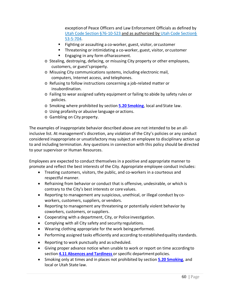exceptionof Peace Officers and Law Enforcement Officials as defined by Utah Code Section §76‐10‐523 and as authorized by Utah Code Section§ 53‐5‐704.

- Fighting or assaulting a co-worker, guest, visitor, or customer
- Threatening or intimidating a co-worker, guest, visitor, or customer
- **Engaging in any form of harassment.**
- o Stealing, destroying, defacing, or misusing City property or other employees, customers, or guest'sproperty.
- o Misusing City communications systems, including electronic mail, computers, Internet access, and telephones.
- o Refusing to follow instructions concerning a job‐related matter or insubordination.
- o Failing to wear assigned safety equipment or failing to abide by safety rules or policies.
- o Smoking where prohibited by section **5.20 Smoking**, local and State law.
- o Using profanity or abusive language or actions.
- o Gambling on City property.

The examples of inappropriate behavior described above are not intended to be an allinclusive list. At management's discretion, any violation of the City's policies or any conduct considered inappropriate or unsatisfactory may subject an employee to disciplinary action up to and including termination. Any questions in connection with this policy should be directed to your supervisor or Human Resources.

Employees are expected to conduct themselves in a positive and appropriate manner to promote and reflect the best interests of the City. Appropriate employee conduct includes:

- Treating customers, visitors, the public, and co-workers in a courteous and respectful manner.
- Refraining from behavior or conduct that is offensive, undesirable, or which is contrary to the City's best interests or core values.
- Reporting to management any suspicious, unethical, or illegal conduct by coworkers, customers, suppliers, or vendors.
- Reporting to management any threatening or potentially violent behavior by coworkers, customers, orsuppliers.
- Cooperating with a department, City, or Police investigation.
- Complying with all City safety and security regulations.
- Wearing clothing appropriate for the work being performed.
- Performing assigned tasks efficiently and according to establishedquality standards.
- Reporting to work punctually and asscheduled.
- Giving proper advance notice when unable to work or report on time according to section **4.11 Absences and Tardiness** or specific department policies.
- Smoking only at times and in places not prohibited by section **5.20 Smoking**, and local or Utah State law.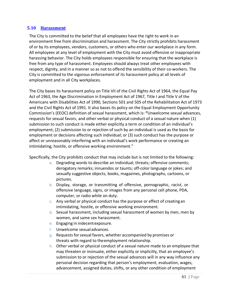#### **5.10 Harassment**

The City is committed to the belief that all employees have the right to work in an environment free from discrimination and harassment. The City strictly prohibits harassment of or by its employees, vendors, customers, or others who enter our workplace in any form. All employees at any level of employment with the City must avoid offensive or inappropriate harassing behavior. The City holds employees responsible for ensuring that the workplace is free from any type of harassment. Employees should always treat other employees with respect, dignity, and in a manner so as not to offend the sensibility of their co-workers. The City is committed to the vigorous enforcement of its harassment policy at all levels of employment and in all City workplaces.

The City bases its harassment policy on Title VII of the Civil Rights Act of 1964, the Equal Pay Act of 1963, the Age Discrimination in Employment Act of 1967, Title I and Title V of the Americans with Disabilities Act of 1990, Sections 501 and 505 of the Rehabilitation Act of 1973 and the Civil Rights Act of 1991. It also bases its policy on the Equal Employment Opportunity Commission's (EEOC) definition of sexual harassment, which is: **"**Unwelcome sexual advances, requests for sexual favors, and other verbal or physical conduct of a sexual nature when (1) submission to such conduct is made either explicitly a term or condition of an individual's employment; (2) submission to or rejection of such by an individual is used as the basis for employment or decisions affecting such individual; or (3) such conduct has the purpose or affect or unreasonably interfering with an individual's work performance or creating an intimidating, hostile, or offensive working environment."

Specifically, the City prohibits conduct that may include but is not limited to the following:

- a. Degrading words to describe an individual; threats; offensive comments; derogatory remarks; innuendos or taunts; off‐color language or jokes; and sexually suggestive objects, books, magazines, photographs, cartoons, or pictures.
- b. Display, storage, or transmitting of offensive, pornographic, racist, or offensive language, signs, or images from any personal cell phone, PDA, computer, or radio while on duty.
- c. Any verbal or physical conduct has the purpose or effect of creating an intimidating, hostile, or offensive working environment.
- d. Sexual harassment, including sexual harassment of women by men, men by women, and same sex harassment.
- e. Engaging in indecentexposure.
- f. Unwelcome sexual advances.
- g. Requests for sexual favors, whether accompanied by promises or threats with regard to theemployment relationship.
- h. Other verbal or physical conduct of a sexual nature made to an employee that may threaten or insinuate, either explicitly or implicitly, that an employee's submission to or rejection of the sexual advances will in any way influence any personal decision regarding that person's employment, evaluation, wages, advancement, assigned duties, shifts, or any other condition of employment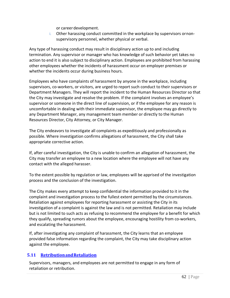or careerdevelopment.

i. Other harassing conduct committed in the workplace by supervisors ornon‐ supervisory personnel, whether physical or verbal.

Any type of harassing conduct may result in disciplinary action up to and including termination. Any supervisor or manager who has knowledge of such behavior yet takes no action to end it is also subject to disciplinary action. Employees are prohibited from harassing other employees whether the incidents of harassment occur on employer premises or whether the incidents occur during business hours.

Employees who have complaints of harassment by anyone in the workplace, including supervisors, co-workers, or visitors, are urged to report such conduct to their supervisors or Department Managers. They will report the incident to the Human Resources Director so that the City may investigate and resolve the problem. If the complaint involves an employee's supervisor or someone in the direct line of supervision, or if the employee for any reason is uncomfortable in dealing with their immediate supervisor, the employee may go directly to any Department Manager, any management team member or directly to the Human Resources Director, City Attorney, or City Manager.

The City endeavors to investigate all complaints as expeditiously and professionally as possible. Where investigation confirms allegations of harassment, the City shall take appropriate corrective action.

If, after careful investigation, the City is unable to confirm an allegation of harassment, the City may transfer an employee to a new location where the employee will not have any contact with the alleged harasser.

To the extent possible by regulation or law, employees will be apprised of the investigation process and the conclusion of the investigation.

The City makes every attempt to keep confidential the information provided to it in the complaint and investigation process to the fullest extent permitted by the circumstances. Retaliation against employees for reporting harassment or assisting the City in its investigation of a complaint is against the law and is not permitted. Retaliation may include but is not limited to such acts as refusing to recommend the employee for a benefit for which they qualify, spreading rumors about the employee, encouraging hostility from co‐workers, and escalating the harassment.

If, after investigating any complaint of harassment, the City learns that an employee provided false information regarding the complaint, the City may take disciplinary action against the employee.

### **5.11 RetributionandRetaliation**

Supervisors, managers, and employees are not permitted to engage in any form of retaliation or retribution.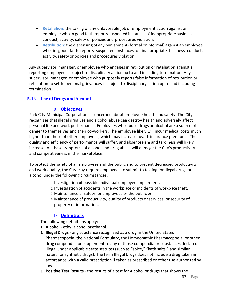- **Retaliation:** the taking of any unfavorable job or employment action against an employee who in good faith reports suspected instances of inappropriatebusiness conduct, activity, safety or policies and procedures violation.
- **Retribution:** the dispensing of any punishment (formal or informal) against an employee who in good faith reports suspected instances of inappropriate business conduct, activity, safety or policies and procedures violation.

Any supervisor, manager, or employee who engages in retribution or retaliation against a reporting employee is subject to disciplinary action up to and including termination. Any supervisor, manager, or employee who purposely reports false information of retribution or retaliation to settle personal grievances is subject to disciplinary action up to and including termination.

### **5.12 Use of Drugs andAlcohol**

#### **a. Objectives**

Park City Municipal Corporation is concerned about employee health and safety. The City recognizes that illegal drug use and alcohol abuse can destroy health and adversely affect personal life and work performance. Employees who abuse drugs or alcohol are a source of danger to themselves and their co-workers. The employee likely will incur medical costs much higher than those of other employees, which may increase health insurance premiums. The quality and efficiency of performance will suffer, and absenteeism and tardiness will likely increase. All these symptoms of alcohol and drug abuse will damage the City's productivity and competitiveness in themarketplace.

To protect the safety of all employees and the public and to prevent decreased productivity and work quality, the City may require employees to submit to testing for illegal drugs or alcohol under the following circumstances:

- 1. Investigation of possible individual employee impairment.
- 2. Investigation of accidents in the workplace or incidents of workplace theft.
- 3.Maintenance of safety for employees or the public or
- 4.Maintenance of productivity, quality of products or services, or security of property or information.

### **b. Definitions**

The following definitions apply:

- **1. Alcohol** ‐ ethyl alcohol orethanol.
- **2. Illegal Drugs** ‐ any substance recognized as a drug in the United States Pharmacopoeia, the National Formulary, the Homeopathic Pharmacopoeia, or other drug compendia, or supplement to any of those compendia or substances declared illegal under applicable state statutes (such as "spice," "bath salts," and similar natural or synthetic drugs). The term Illegal Drugs does not include a drug taken in accordance with a valid prescription if taken as prescribed or other use authorizedby law.
- **3. Positive Test Results** ‐ the results of a test for Alcohol or drugs that shows the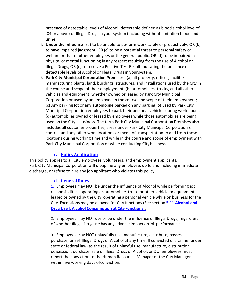presence of detectable levels of Alcohol (detectable defined as blood alcohol levelof .04 or above) or Illegal Drugs in your system (including without limitation blood and urine.)

- **4. Under the influence** ‐ (a) to be unable to perform work safely or productively, OR (b) to have impaired judgment, OR (c) to be a potential threat to personal safety or welfare or that of other employees or the general public, OR (d) to be impaired in physical or mental functioning in any respect resulting from the use of Alcohol or Illegal Drugs, OR (e) to receive a Positive Test Result indicating the presence of detectable levels of Alcohol or Illegal Drugs in yoursystem.
- **5. Park City Municipal Corporation Premises** ‐ (a) all property, offices, facilities, manufacturing plants, land, buildings, structures, and installations used by the City in the course and scope of their employment; (b) automobiles, trucks, and all other vehicles and equipment, whether owned or leased by Park City Municipal Corporation or used by an employee in the course and scope of their employment; (c) Any parking lot or any automobile parked on any parking lot used by Park City Municipal Corporation employees to park their personal vehicles during work hours; (d) automobiles owned or leased by employees while those automobiles are being used on the City's business. The term Park City Municipal Corporation Premises also includes all customer properties, areas under Park City Municipal Corporation's control, and any other work locations or mode of transportation to and from those locations during working time and while in the course and scope of employment with Park City Municipal Corporation or while conducting City business.

### **c. PolicyApplication**

This policy applies to all City employees, volunteers, and employment applicants. Park City Municipal Corporation will discipline any employee, up to and including immediate discharge, or refuse to hire any job applicant who violates this policy.

#### **d. GeneralRules**

1. Employees may NOT be under the influence of Alcohol while performing job responsibilities, operating an automobile, truck, or other vehicle or equipment leased or owned by the City, operating a personal vehicle while on business for the City. Exceptions may be allowed for City functions (See section **5.11 Alcohol and Drug Use l. Alcohol Consumption at City Functions**).

2. Employees may NOT use or be under the influence of Illegal Drugs, regardless of whether Illegal Drug use has any adverse impact on jobperformance.

3. Employees may NOT unlawfully use, manufacture, distribute, possess, purchase, or sell Illegal Drugs or Alcohol at any time. If convicted of a crime (under state or federal law) as the result of unlawful use, manufacture, distribution, possession, purchase, sale of Illegal Drugs or Alcohol, or DUI employees must report the conviction to the Human Resources Manager or the City Manager within five working days ofconviction.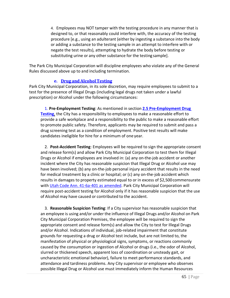4. Employees may NOT tamper with the testing procedure in any manner that is designed to, or that reasonably could interfere with, the accuracy of the testing procedure [e.g., using an adulterant (either by ingesting a substance into the body or adding a substance to the testing sample in an attempt to interfere with or negate the test results), attempting to hydrate the body before testing or substituting urine or any other substance for the testing sample].

The Park City Municipal Corporation will discipline employees who violate any of the General Rules discussed above up to and including termination.

#### **e. Drug and AlcoholTesting**

Park City Municipal Corporation, in its sole discretion, may require employees to submit to a test for the presence of Illegal Drugs (including legal drugs not taken under a lawful prescription) or Alcohol under the following circumstances:

1. **Pre‐Employment Testing**: As mentioned in section **2.5 Pre‐Employment Drug Testing**, the City has a responsibility to employees to make a reasonable effort to provide a safe workplace and a responsibility to the public to make a reasonable effort to promote public safety. Therefore, applicants may be required to submit and pass a drug screening test as a condition of employment. Positive test results will make candidates ineligible for hire for a minimum of one year.

2. **Post‐Accident Testing**: Employees will be required to sign the appropriate consent and release form(s) and allow Park City Municipal Corporation to test them for Illegal Drugs or Alcohol if employees are involved in: (a) any on‐the‐job accident or another incident where the City has reasonable suspicion that Illegal Drug or Alcohol use may have been involved; (b) any on-the-job personal injury accident that results in the need for medical treatment by a clinic or hospital; or (c) any on-the-job accident which results in damages to property estimated equal to or in excess of \$2,500commensurate with Utah Code Ann. 41-6a-401 as amended. Park City Municipal Corporation will require post-accident testing for Alcohol only if it has reasonable suspicion that the use of Alcohol may have caused or contributed to the accident.

3. **Reasonable Suspicion Testing**: If a City supervisor has reasonable suspicion that an employee is using and/or under the influence of Illegal Drugs and/or Alcohol on Park City Municipal Corporation Premises, the employee will be required to sign the appropriate consent and release form(s) and allow the City to test for Illegal Drugs and/or Alcohol. Indications of individual, job-related impairment that constitute grounds for requesting a drug or Alcohol test include, but are not limited to, the manifestation of physical or physiological signs, symptoms, or reactions commonly caused by the consumption or ingestion of Alcohol or drugs (i.e., the odor of Alcohol, slurred or thickened speech, apparent loss of coordination or unsteady gait, or uncharacteristic emotional behavior), failure to meet performance standards, and attendance and tardiness problems. Any City supervisor or employee who observes possible Illegal Drug or Alcohol use must immediately inform the Human Resources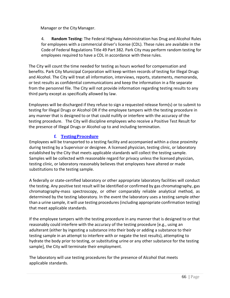Manager or the City Manager.

4. **Random Testing**: The Federal Highway Administration has Drug and Alcohol Rules for employees with a commercial driver's license (CDL). These rules are available in the Code of Federal Regulations Title 49 Part 382. Park City may perform random testing for employees required to have a CDL in accordance with these rules.

The City will count the time needed for testing as hours worked for compensation and benefits. Park City Municipal Corporation will keep written records of testing for Illegal Drugs and Alcohol. The City will treat all information, interviews, reports, statements, memoranda, or test results as confidential communications and keep the information in a file separate from the personnel file. The City will not provide information regarding testing results to any third party except as specifically allowed by law.

Employees will be discharged if they refuse to sign a requested release form(s) or to submit to testing for Illegal Drugs or Alcohol OR if the employee tampers with the testing procedure in any manner that is designed to or that could nullify or interfere with the accuracy of the testing procedure. The City will discipline employees who receive a Positive Test Result for the presence of Illegal Drugs or Alcohol up to and including termination.

# **f. TestingProcedure**

Employees will be transported to a testing facility and accompanied within a close proximity during testing by a Supervisor or designee. A licensed physician, testing clinic, or laboratory established by the City that meets applicable standards will collect the testing sample. Samples will be collected with reasonable regard for privacy unless the licensed physician, testing clinic, or laboratory reasonably believes that employees have altered or made substitutions to the testing sample.

A federally or state‐certified laboratory or other appropriate laboratory facilities will conduct the testing. Any positive test result will be identified or confirmed by gas chromatography, gas chromatography‐mass spectroscopy, or other comparably reliable analytical method, as determined by the testing laboratory. In the event the laboratory uses a testing sample other than a urine sample, it will use testing procedures (including appropriate confirmation testing) that meet applicable standards.

If the employee tampers with the testing procedure in any manner that is designed to or that reasonably could interfere with the accuracy of the testing procedure [e.g., using an adulterant (either by ingesting a substance into their body or adding a substance to their testing sample in an attempt to interfere with or negate the test results), attempting to hydrate the body prior to testing, or substituting urine or any other substance for the testing sample], the City will terminate their employment.

The laboratory will use testing procedures for the presence of Alcohol that meets applicable standards.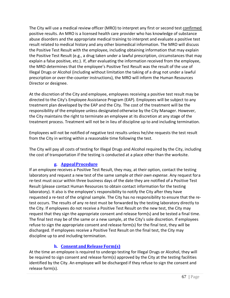The City will use a medical review officer (MRO) to interpret any first or second test confirmed positive results. An MRO is a licensed health care provider who has knowledge of substance abuse disorders and the appropriate medical training to interpret and evaluate a positive test result related to medical history and any other biomedical information. The MRO will discuss the Positive Test Result with the employee, including obtaining information that may explain the Positive Test Result (e.g., a drug taken under a lawful prescription, circumstances that may explain a false positive, etc.). If, after evaluating the information received from the employee, the MRO determines that the employee's Positive Test Result was the result of the use of Illegal Drugs or Alcohol (including without limitation the taking of a drug not under a lawful prescription or over-the-counter instructions), the MRO will inform the Human Resources Director or designee.

At the discretion of the City and employee, employees receiving a positive test result may be directed to the City's Employee Assistance Program (EAP). Employees will be subject to any treatment plan developed by the EAP and the City. The cost of the treatment will be the responsibility of the employee unless designated otherwise by the City Manager. However, the City maintains the right to terminate an employee at its discretion at any stage of the treatment process. Treatment will not be in lieu of discipline up to and including termination.

Employees will not be notified of negative test results unless he/she requests the test result from the City in writing within a reasonable time following the test.

The City will pay all costs of testing for Illegal Drugs and Alcohol required by the City, including the cost of transportation if the testing is conducted at a place other than the worksite.

# **g. AppealProcedure**

If an employee receives a Positive Test Result, they may, at their option, contact the testing laboratory and request a new test of the same sample *at their own expense*. Any request fora re-test must occur within three business days of the date they are notified of a Positive Test Result (please contact Human Resources to obtain contact information for the testing laboratory). It also is the employee's responsibility to notify the City after they have requested a re‐test of the original sample. The City has no responsibility to ensure that the retest occurs. The results of any re-test must be forwarded by the testing laboratory directly to the City. If employees do not receive a Positive Test Result on the new test, the City may request that they sign the appropriate consent and release form(s) and be tested a final time. The final test may be of the same or a new sample, at the City's sole discretion. If employees refuse to sign the appropriate consent and release form(s) for the final test, they will be discharged. If employees receive a Positive Test Result on the final test, the City may discipline up to and including termination.

# **h. Consent and Release Form(s)**

At the time an employee is required to undergo testing for Illegal Drugs or Alcohol, they will be required to sign consent and release form(s) approved by the City at the testing facilities identified by the City. An employee will be discharged if they refuse to sign the consent and release form(s).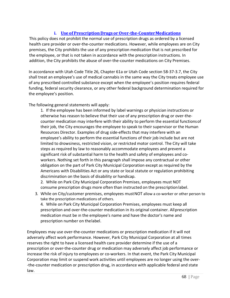### **i.** Use of Prescription Drugs or Over-the-Counter Medications

This policy does not prohibit the normal use of prescription drugs as ordered by a licensed health care provider or over-the-counter medications. However, while employees are on City premises, the City prohibits the use of any prescription medication that is not prescribed for the employee, or that is not taken in accordance with the prescription instructions. In addition, the City prohibits the abuse of over-the-counter medications on City Premises.

In accordance with Utah Code Title 26, Chapter 61a or Utah Code section 58‐37‐3.7, the City shall treat an employee's use of medical cannabis in the same way the City treats employee use of any prescribed controlled substance except when the employee's position requires federal funding, federal security clearance, or any other federal background determination required for the employee's position.

The following general statements will apply:

1. If the employee has been informed by label warnings or physician instructions or otherwise has reason to believe that their use of any prescription drug or over-thecounter medication may interfere with their ability to perform the essential functionsof their job, the City encourages the employee to speak to their supervisor or the Human Resources Director. Examples of drug side‐effects that may interfere with an employee's ability to perform the essential functions of their job include but are not limited to drowsiness, restricted vision, or restricted motor control. The City will take steps as required by law to reasonably accommodate employees and prevent a significant risk of substantial harm to the health and safety of employees and coworkers. Nothing set forth in this paragraph shall impose any contractual or other obligation on the part of Park City Municipal Corporation except as required by the Americans with Disabilities Act or any state or local statute or regulation prohibiting discrimination on the basis of disability or handicap.

2. While on Park City Municipal Corporation Premises, employees must NOT consume prescription drugs more often than instructed on the prescriptionlabel.

3. While on City/customer premises, employees must NOT allow a co-worker or other person to take the prescription medications of others.

4. While on Park City Municipal Corporation Premises, employees must keep all prescription and over‐the‐counter medication in its original container. Allprescription medication must be in the employee's name and have the doctor's name and prescription number on thelabel.

Employees may use over‐the‐counter medications or prescription medication if it will not adversely affect work performance. However, Park City Municipal Corporation at all times reserves the right to have a licensed health care provider determine if the use of a prescription or over‐the‐counter drug or medication may adversely affect job performance or increase the risk of injury to employees or co-workers. In that event, the Park City Municipal Corporation may limit or suspend work activities until employees are no longer using the over‐ ‐the‐counter medication or prescription drug, in accordance with applicable federal and state law.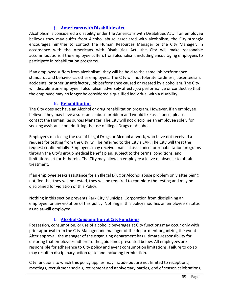### **j. Americans with DisabilitiesAct**

Alcoholism is considered a disability under the Americans with Disabilities Act. If an employee believes they may suffer from Alcohol abuse associated with alcoholism, the City strongly encourages him/her to contact the Human Resources Manager or the City Manager. In accordance with the Americans with Disabilities Act, the City will make reasonable accommodations if the employee suffers from alcoholism, including encouraging employees to participate in rehabilitation programs.

If an employee suffers from alcoholism, they will be held to the same job performance standards and behavior as other employees. The City will not tolerate tardiness, absenteeism, accidents, or other unsatisfactory job performance caused or created by alcoholism. The City will discipline an employee if alcoholism adversely affects job performance or conduct so that the employee may no longer be considered a qualified individual with a disability.

### **k. Rehabilitation**

The City does not have an Alcohol or drug rehabilitation program. However, if an employee believes they may have a substance abuse problem and would like assistance, please contact the Human Resources Manager. The City will not discipline an employee solely for seeking assistance or admitting the use of Illegal Drugs or Alcohol.

Employees disclosing the use of Illegal Drugs or Alcohol at work, who have not received a request for testing from the City, will be referred to the City's EAP. The City will treat the request confidentially. Employees may receive financial assistance for rehabilitation programs through the City's group medical benefit plan, subject to the terms, conditions, and limitations set forth therein. The City may allow an employee a leave of absence to obtain treatment.

If an employee seeks assistance for an Illegal Drug or Alcohol abuse problem only after being notified that they will be tested, they will be required to complete the testing and may be disciplined for violation of this Policy.

Nothing in this section prevents Park City Municipal Corporation from disciplining an employee for any violation of this policy. Nothing in this policy modifies an employee's status as an at‐will employee.

# **l. Alcohol Consumption at CityFunctions**

Possession, consumption, or use of alcoholic beverages at City functions may occur only with prior approval from the City Manager and manager of the department organizing the event. After approval, the manager of the organizing department has ultimate responsibility for ensuring that employees adhere to the guidelines presented below. All employees are responsible for adherence to City policy and event consumption limitations. Failure to do so may result in disciplinary action up to and including termination.

City functions to which this policy applies may include but are not limited to receptions, meetings, recruitment socials, retirement and anniversary parties, end of season celebrations,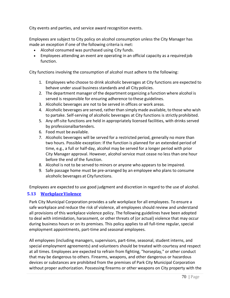City events and parties, and service award recognition events.

Employees are subject to City policy on alcohol consumption unless the City Manager has made an exception if one of the following criteria is met:

- Alcohol consumed was purchased using City funds.
- Employees attending an event are operating in an official capacity as a required job function.

City functions involving the consumption of alcohol must adhere to the following:

- 1. Employees who choose to drink alcoholic beverages at City functions are expected to behave under usual business standards and all City policies.
- 2. The department manager of the department organizing a function where alcohol is served is responsible for ensuring adherence to these guidelines.
- 3. Alcoholic beverages are not to be served in offices or work areas.
- 4. Alcoholic beverages are served, rather than simply made available, to those who wish to partake. Self‐serving of alcoholic beverages at City functions is strictly prohibited.
- 5. Any off-site functions are held in appropriately licensed facilities, with drinks served by professionalbartenders.
- 6. Food must be available.
- 7. Alcoholic beverages will be served for a restricted period, generally no more than two hours. Possible exception: If the function is planned for an extended period of time, e.g., a full or half-day, alcohol may be served for a longer period with prior City Manager approval. However, alcohol service must cease no less than one hour before the end of the function.
- 8. Alcohol is not to be served to minors or anyone who appears to be impaired.
- 9. Safe passage home must be pre‐arranged by an employee who plans to consume alcoholic beverages at Cityfunctions.

Employees are expected to use good judgment and discretion in regard to the use of alcohol.

### **5.13 WorkplaceViolence**

Park City Municipal Corporation provides a safe workplace for all employees. To ensure a safe workplace and reduce the risk of violence, all employees should review and understand all provisions of this workplace violence policy. The following guidelines have been adopted to deal with intimidation, harassment, or other threats of (or actual) violence that may occur during business hours or on its premises. This policy applies to all full-time regular, special employment appointments, part‐time and seasonal employees.

All employees (including managers, supervisors, part‐time, seasonal, student interns, and special employment agreements) and volunteers should be treated with courtesy and respect at all times. Employees are expected to refrain from fighting, "horseplay," or other conduct that may be dangerous to others. Firearms, weapons, and other dangerous or hazardous devices or substances are prohibited from the premises of Park City Municipal Corporation without proper authorization. Possessing firearms or other weapons on City property with the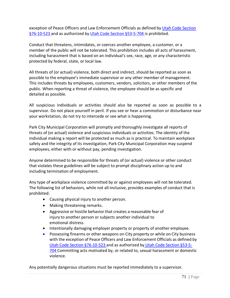exception of Peace Officers and Law Enforcement Officials as defined by Utah Code Section §76-10-523 and as authorized by Utah Code Section §53-5-704 is prohibited.

Conduct that threatens, intimidates, or coerces another employee, a customer, or a member of the public will not be tolerated. This prohibition includes all acts of harassment, including harassment that is based on an individual's sex, race, age, or any characteristic protected by federal, state, or local law.

All threats of (or actual) violence, both direct and indirect, should be reported as soon as possible to the employee's immediate supervisor or any other member of management. This includes threats by employees, customers, vendors, solicitors, or other members of the public. When reporting a threat of violence, the employee should be as specific and detailed as possible.

All suspicious individuals or activities should also be reported as soon as possible to a supervisor. Do not place yourself in peril. If you see or hear a commotion or disturbance near your workstation, do not try to intercede or see what is happening.

Park City Municipal Corporation will promptly and thoroughly investigate all reports of threats of (or actual) violence and suspicious individuals or activities. The identity of the individual making a report will be protected as much as is practical. To maintain workplace safety and the integrity of its investigation, Park City Municipal Corporation may suspend employees, either with or without pay, pending investigation.

Anyone determined to be responsible for threats of (or actual) violence or other conduct that violates these guidelines will be subject to prompt disciplinary action up to and including termination of employment.

Any type of workplace violence committed by or against employees will not be tolerated. The following list of behaviors, while not all-inclusive, provides examples of conduct that is prohibited:

- Causing physical injury to another person.
- Making threatening remarks.
- Aggressive or hostile behavior that creates a reasonable fear of injury to another person or subjects another individual to emotional distress.
- Intentionally damaging employer property or property of another employee.
- Possessing firearms or other weapons on City property or while on City business with the exception of Peace Officers and Law Enforcement Officials as defined by Utah Code Section §76‐10‐523 and as authorized by Utah Code Section §53‐5‐ 704 Committing acts motivated by, or related to, sexual harassment or domestic violence.

Any potentially dangerous situations must be reported immediately to a supervisor,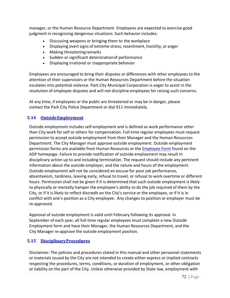manager, or the Human Resource Department. Employees are expected to exercise good judgment in recognizing dangerous situations. Such behavior includes:

- Discussing weapons or bringing them to the workplace
- Displaying overt signs of extreme stress, resentment, hostility, or anger
- Making threatening remarks
- Sudden or significant deteriorationof performance
- Displaying irrational or inappropriate behavior

Employees are encouraged to bring their disputes or differences with other employees to the attention of their supervisors or the Human Resources Department before the situation escalates into potential violence. Park City Municipal Corporation is eager to assist in the resolution of employee disputes and will not discipline employees for raising such concerns.

At any time, if employees or the public are threatened or may be in danger, please contact the Park City Police Department or dial 911 immediately.

### **5.14 OutsideEmployment**

Outside employment includes self‐employment and is defined as work performance other than City work for self or others for compensation. Full‐time regular employees must request permission to accept outside employment from their Manager and the Human Resources Department. The City Manager must approve outside employment. Outside employment permission forms are available from Human Resources or the [Employee Form](https://pclaserfiche.parkcity.org/Forms/Home/StartProcess#/processes) found on the ADP homepage. Failure to provide notification of outside employment may result in disciplinary action up to and including termination. The request should include any pertinent information about the outside employer, and the nature and hours of the employment. Outside employment will not be considered an excuse for poor job performance, absenteeism, tardiness, leaving early, refusal to travel, or refusal to work overtime or different hours. Permission shall not be given if it is determined that such outside employment is likely to physically or mentally hamper the employee's ability to do the job required of them by the City, or if it is likely to reflect discredit on the City's service or the employee, or if it is in conflict with one's position as a City employee. Any changes to position or employer must be re‐approved.

Approval of outside employment is valid until February following its approval. In September of each year, all full‐time regular employees must complete a new Outside Employment form and have their Manager, the Human Resources Department, and the City Manager re‐approve the outside employment position.

### **5.15 DisciplinaryProcedures**

Disclaimer: The policies and procedures stated in this manual and other personnel statements or materials issued by the City are not intended to create either express or implied contracts respecting the procedures, terms, conditions, or duration of employment, or other obligation or liability on the part of the City. Unless otherwise provided by State law, employment with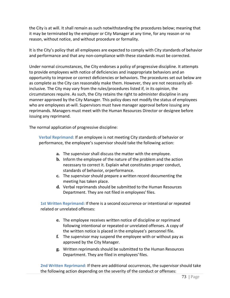the City is at will. It shall remain as such notwithstanding the procedures below; meaning that it may be terminated by the employer or City Manager at any time, for any reason or no reason, without notice, and without procedure or formality.

It is the City's policy that all employees are expected to comply with City standards of behavior and performance and that any non-compliance with these standards must be corrected.

Under normal circumstances, the City endorses a policy of progressive discipline. It attempts to provide employees with notice of deficiencies and inappropriate behaviors and an opportunity to improve or correct deficiencies or behaviors. The procedures set out below are as complete as the City can reasonably make them. However, they are not necessarily allinclusive. The City may vary from the rules/procedures listed if, in its opinion, the circumstances require. As such, the City retains the right to administer discipline in any manner approved by the City Manager. This policy does not modify the status of employees who are employees at-will. Supervisors must have manager approval before issuing any reprimands. Managers must meet with the Human Resources Director or designee before issuing any reprimand.

The normal application of progressive discipline:

**Verbal Reprimand:** If an employee is not meeting City standards of behavior or performance, the employee's supervisor should take the following action:

- **a.** The supervisor shall discuss the matter with the employee.
- **b.** Inform the employee of the nature of the problem and the action necessary to correct it. Explain what constitutes proper conduct, standards of behavior, orperformance.
- **c.** The supervisor should prepare a written record documenting the meeting has taken place.
- **d.** Verbal reprimands should be submitted to the Human Resources Department. They are not filed in employees' files.

**1st Written Reprimand:** If there is a second occurrence or intentional or repeated related or unrelated offenses:

- **e.** The employee receives written notice of discipline or reprimand following intentional or repeated or unrelated offenses. A copy of the written notice is placed in the employee's personnel file.
- **f.** The supervisor may suspend the employee with or without pay as approved by the City Manager.
- **g.** Written reprimands should be submitted to the Human Resources Department. They are filed in employees' files.

**2nd Written Reprimand:** If there are additional occurrences, the supervisor should take the following action depending on the severity of the conduct or offenses: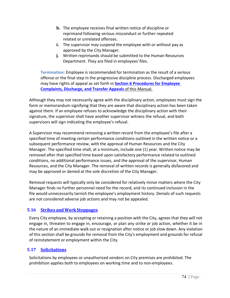- **h.** The employee receives final written notice of discipline or reprimand following serious misconduct or further repeated related or unrelated offenses.
- **i.** The supervisor may suspend the employee with or without pay as approved by the City Manager.
- **j.** Written reprimands should be submitted to the Human Resources Department. They are filed in employees' files.

**Termination:** Employee is recommended for termination as the result of a serious offense or the final step in the progressive discipline process. Discharged employees may have rights of appeal as set forth in **Section 6 Procedures for Employee Complaints, Discharge, and Transfer Appeals** of this Manual.

Although they may not necessarily agree with the disciplinary action, employees must sign the form or memorandum signifying that they are aware that disciplinary action has been taken against them. If an employee refuses to acknowledge the disciplinary action with their signature, the supervisor shall have another supervisor witness the refusal, and both supervisors will sign indicating the employee's refusal.

A Supervisor may recommend removing a written record from the employee's file after a specified time of meeting certain performance conditions outlined in the written notice or a subsequent performance review, with the approval of Human Resources and the City Manager. The specified time shall, at a minimum, include one (1) year. Written notice may be removed after that specified time based upon satisfactory performance related to outlined conditions, no additional performance issues, and the approval of the supervisor, Human Resources, and the City Manager. The removal of written records is generally disfavored and may be approved or denied at the sole discretion of the City Manager.

Removal requests will typically only be considered for relatively minor matters where the City Manager finds no further personnel need for the record, and its continued inclusion in the file would unnecessarily tarnish the employee's employment history. Denials of such requests are not considered adverse job actions and may not be appealed.

# **5.16 Strikes and WorkStoppages**

Every City employee, by accepting or retaining a position with the City, agrees that they will not engage in, threaten to engage in, encourage, or plan any strike or job action, whether it be in the nature of an immediate walk out or resignation after notice or job slow down. Any violation of this section shall be grounds for removal from the City's employment and grounds for refusal of reinstatement or employment within the City.

# **5.17 Solicitations**

Solicitations by employees or unauthorized vendors on City premises are prohibited. The prohibition applies both to employees on working time and to non‐employees.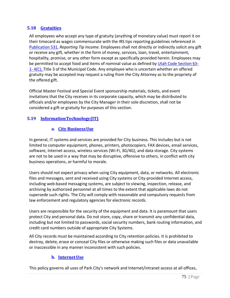## **5.18 Gratuities**

All employees who accept any type of gratuity (anything of monetary value) must report it on their timecard as wages commensurate with the IRS tips reporting guidelines referenced in Publication 531, *Reporting Tip Income.* Employees shall not directly or indirectly solicit any gift or receive any gift, whether in the form of money, services, loan, travel, entertainment, hospitality, promise, or any other form except as specifically provided herein. Employees may be permitted to accept food and items of nominal value as defined by Utah Code Section §3-1‐ 4(C), Title 3 of the Municipal Code. Any employee who is uncertain whether an offered gratuity may be accepted may request a ruling from the City Attorney as to the propriety of the offered gift.

Official Master Festival and Special Event sponsorship materials, tickets, and event invitations that the City receives in its corporate capacity, which may be distributed to officials and/or employees by the City Manager in their sole discretion, shall not be considered a gift or gratuity for purposes of this section.

# **5.19 InformationTechnology(IT)**

## **a. City BusinessUse**

In general, IT systems and services are provided for City business. This includes but is not limited to computer equipment, phones, printers, photocopiers, FAX devices, email services, software, Internet access, wireless services (Wi-Fi, 3G/4G), and data storage. City systems are not to be used in a way that may be disruptive, offensive to others, in conflict with city business operations, or harmful to morale.

Users should not expect privacy when using City equipment, data, or networks. All electronic files and messages, sent and received using City systems or City-provided Internet access, including web‐based messaging systems, are subject to viewing, inspection, release, and archiving by authorized personnel at all times to the extent that applicable laws do not supersede such rights. The City will comply with reasonable and compulsory requests from law enforcement and regulatory agencies for electronic records.

Users are responsible for the security of the equipment and data. It is paramount that users protect City and personal data. Do not store, copy, share or transmit any confidential data, including but not limited to passwords, social security numbers, bank routing information, and credit card numbers outside of appropriate City Systems.

All City records must be maintained according to City retention policies. It is prohibited to destroy, delete, erase or conceal City files or otherwise making such files or data unavailable or inaccessible in any manner inconsistent with such policies.

# **b. InternetUse**

This policy governs all uses of Park City's network and Internet/intranet access at all offices,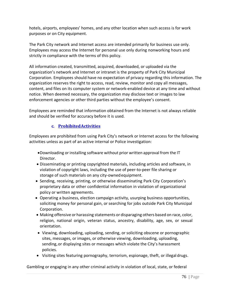hotels, airports, employees' homes, and any other location when such access is for work purposes or on City equipment.

The Park City network and Internet access are intended primarily for business use only. Employees may access the Internet for personal use only during nonworking hours and strictly in compliance with the terms of this policy.

All information created, transmitted, acquired, downloaded, or uploaded via the organization's network and Internet or intranet is the property of Park City Municipal Corporation. Employees should have no expectation of privacy regarding this information. The organization reserves the right to access, read, review, monitor and copy all messages, content, and files on its computer system or network-enabled device at any time and without notice. When deemed necessary, the organization may disclose text or images to law enforcement agencies or other third parties without the employee's consent.

Employees are reminded that information obtained from the Internet is not always reliable and should be verified for accuracy before it is used.

# **c. ProhibitedActivities**

Employees are prohibited from using Park City's network or Internet access for the following activities unless as part of an active internal or Police investigation:

- •Downloading orinstalling software without prior written approval from the IT Director.
- Disseminating or printing copyrighted materials, including articles and software, in violation of copyright laws, including the use of peer‐to‐peer file sharing or storage of such materials on any city-ownedequipment.
- Sending, receiving, printing, or otherwise disseminating Park City Corporation's proprietary data or other confidential information in violation of organizational policy or written agreements.
- Operating a business, election campaign activity, usurping business opportunities, soliciting money for personal gain, or searching for jobs outside Park City Municipal Corporation.
- Making offensive or harassing statements or disparaging others based on race, color, religion, national origin, veteran status, ancestry, disability, age, sex, or sexual orientation.
- Viewing, downloading, uploading, sending, or soliciting obscene or pornographic sites, messages, or images, or otherwise viewing, downloading, uploading, sending, or displaying sites or messages which violate the City's harassment policies.
- Visiting sites featuring pornography, terrorism, espionage, theft, or illegal drugs.

Gambling or engaging in any other criminal activity in violation of local, state, or federal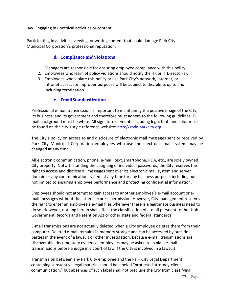law. Engaging in unethical activities or content.

Participating in activities, viewing, or writing content that could damage Park City Municipal Corporation's professional reputation.

# **d. Compliance andViolations**

- 1. Managers are responsible for ensuring employee compliance with this policy.
- 2. Employees who learn of policy violations should notify the HR or IT Director(s).
- 3. Employees who violate this policy or use Park City's network, Internet, or intranet access for improper purposes will be subject to discipline, up to and including termination.

## **e. EmailStandardization**

Professional e-mail transmission is important to maintaining the positive image of the City, its business, and its government and therefore must adhere to the following guidelines: E‐ mail background must be white. All signature elements including logo, font, and color must be found on the city's style reference website: [http://style.parkcity.org](http://style.parkcity.org/)

The City's policy on access to and disclosure of electronic mail messages sent or received by Park City Municipal Corporation employees who use the electronic mail system may be changed at any time.

All electronic communication, phone, e‐mail, text, smartphone, PDA, etc., are solely owned City property. Notwithstanding the assigning of individual passwords, the City reserves the right to access and disclose all messages sent over its electronic mail system and server domain or any communication system at any time for any business purpose, including but not limited to ensuring employee performance and protecting confidential information.

Employees should not attempt to gain access to another employee's e-mail account or email messages without the latter's express permission. However, City management reserves the right to enter an employee's e‐mail files whenever there is a legitimate business need to do so. However, nothing herein shall affect the classification of e‐mail pursuant to the Utah Government Records and Retention Act or other state and federal standards.

E‐mail transmissions are not actually deleted when a City employee deletes them from their computer. Deleted e‐mail remains in memory storage and can be accessed by outside parties in the event of a lawsuit or other investigation. Because e-mail transmissions are discoverable documentary evidence, employees may be asked to explain e‐mail transmissions before a judge in a court of law if the City is involved in a lawsuit.

Transmission between any Park City employee and the Park City Legal Department containing substantive legal material should be labeled "protected attorney‐client communication," but absences of such label shall not preclude the City from classifying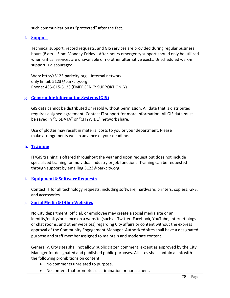such communication as "protected" after the fact.

#### **f. Support**

Technical support, record requests, and GIS services are provided during regular business hours (8 am – 5 pm Monday-Friday). After-hours emergency support should only be utilized when critical services are unavailable or no other alternative exists. Unscheduled walk‐in support is discouraged.

Web: [http://5123.parkcity.org](http://5123.parkcity.org/) – Internal network only Email: [5123@parkcity.org](mailto:5123@parkcity.org) Phone: 435‐615‐5123 (EMERGENCY SUPPORT ONLY)

#### **g. GeographicInformationSystems(GIS)**

GIS data cannot be distributed or resold without permission. All data that is distributed requires a signed agreement. Contact IT support for more information. All GIS data must be saved in "GISDATA" or "CITYWIDE" network share.

Use of plotter may result in material costs to you or your department. Please make arrangements well in advance of your deadline.

## **h. Training**

IT/GIS training is offered throughout the year and upon request but does not include specialized training for individual industry or job functions. Training can be requested through support by emailing 5123@parkcity.org.

#### **i.** Equipment & Software Requests

Contact IT for all technology requests, including software, hardware, printers, copiers, GPS, and accessories.

#### **j. Social Media & OtherWebsites**

No City department, official, or employee may create a social media site or an identity/entity/presence on a website (such as Twitter, Facebook, YouTube, internet blogs or chat rooms, and other websites) regarding City affairs or content without the express approval of the Community Engagement Manager. Authorized sites shall have a designated purpose and staff member assigned to maintain and moderate content.

Generally, City sites shall not allow public citizen comment, except as approved by the City Manager for designated and published public purposes. All sites shall contain a link with the following prohibitions on content:

- No comments unrelated to purpose.
- No content that promotes discrimination or harassment.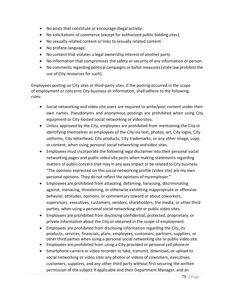- No posts that constitute or encourage illegal activity.
- No solicitations of commerce (except for authorized public bidding sites).
- No sexually related content or links to sexually related content.
- No profane language.
- No content that violates a legal ownership interest of another party.
- No information that compromises the safety or security of any information or person.
- No comments regarding political campaigns or ballot measures (state law prohibits the use of City resources for such).

Employees posting on City sites or third-party sites, if the posting occurred in the scope of employment or concerns City business or information, shall adhere to the following rules:

- Social networking and video site users are required to write/post content under their own names. Pseudonyms and anonymous postings are prohibited when using City equipment or City‐hosted social networking or videosites.
- Unless approved by the City, employees are prohibited from mentioning the City or identifying themselves as employees of the City via text, photos, art, City logos, City uniforms, City letterhead, City products, City trademarks, or any other image, copy, or content, when using personal social networking andvideo sites.
- Employees must incorporate the following legal disclaimer into their personal social networking pages and public video site posts when making statements regarding matters of public concern that may in any way impact or be related to City business: "The opinions expressed on this social networking profile (video site) are my own personal opinions. They do not reflect the opinions of myemployer."
- Employees are prohibited from attacking, defaming, harassing, discriminating against, menacing, threatening, or otherwise exhibiting inappropriate or offensive behavior, attitudes, opinions, or commentary toward or about coworkers, supervisors, executives, customers, vendors, shareholders, the media, or other third parties, when using a personal social networking site or public video sites.
- Employees are prohibited from disclosing confidential, protected, proprietary, or private information about the City or obtained in the scope of employment.
- Employees are prohibited from disclosing information regarding the City, its products, services, financials, plans, employees, customers, partners, suppliers, or other third parties when using a personalsocial networking site or public video site.
- Employees are prohibited from using a City‐provided or personal cell phoneor
- Smartphone camera or video recorder to take, transmit, download, or upload to social networking or video sites any photos or videos of coworkers, executives, customers, suppliers, and any other third party without first securing the written permission of the subject if applicable and their Department Manager, and an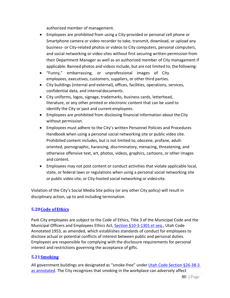authorized member of management.

- Employees are prohibited from using a City‐provided or personal cell phone or Smartphone camera or video recorder to take, transmit, download, or upload any business‐ or City-related photos or videos to City computers, personal computers, and social networking or video sites without first securing written permission from their Department Manager as well as an authorized member of City management if applicable. Banned photos and videos include, but are not limited to, the following:
- "Funny," embarrassing, or unprofessional images of City employees, executives, customers, suppliers, or other third parties.
- City buildings (internal and external), offices, facilities, operations, services, confidential data, and internal documents.
- City uniforms, logos, signage, trademarks, business cards, letterhead, literature, or any other printed or electronic content that can be used to identify the City or past and current employees.
- Employees are prohibited from disclosing financial information about theCity without permission.
- Employees must adhere to the City's written Personnel Policies and Procedures Handbook when using a personal social networking site or public video site. Prohibited content includes, but is not limited to, obscene, profane, adultoriented, pornographic, harassing, discriminatory, menacing, threatening, and otherwise offensive text, art, photos, videos, graphics, cartoons, or other images and content.
- Employees may not post content or conduct activities that violate applicable local, state, or federal laws or regulations when using a personal social networking site or public video site, or City‐hosted social networking or videosite.

Violation of the City's Social Media Site policy (or any other City policy) will result in disciplinary action, up to and including termination.

# **5.20Code ofEthics**

Park City employees are subject to the Code of Ethics, Title 3 of the Municipal Code and the Municipal Officers and Employees Ethics Act, Section §10-3-1301 et seq., Utah Code Annotated 1953, as amended, which establishes standards of conduct for employees to disclose actual or potential conflicts of interest between public and personal duties. Employees are responsible for complying with the disclosure requirements for personal interest and restrictions governing the acceptance of gifts.

# **5.21Smoking**

All government buildings are designated as "smoke-free" under Utah Code Section §26‐38‐3 as annotated. The City recognizes that smoking in the workplace can adversely affect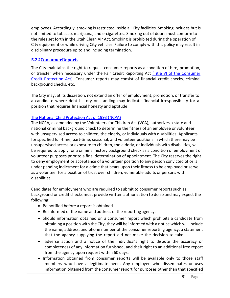employees. Accordingly, smoking is restricted inside all City facilities. Smoking includes but is not limited to tobacco, marijuana, and e-cigarettes. Smoking out of doors must conform to the rules set forth in the Utah Clean Air Act. Smoking is prohibited during the operation of City equipment or while driving City vehicles. Failure to comply with this policy may result in disciplinary procedure up to and including termination.

### **5.22ConsumerReports**

The City maintains the right to request consumer reports as a condition of hire, promotion, or transfer when necessary under the Fair Credit Reporting Act (Title VI of the Consumer Credit Protection Act). Consumer reports may consist of financial credit checks, criminal background checks, etc.

The City may, at its discretion, not extend an offer of employment, promotion, or transfer to a candidate where debt history or standing may indicate financial irresponsibility for a position that requires financial honesty and aptitude.

#### The National Child Protection Act of 1993 (NCPA)

The NCPA, as amended by the Volunteers for Children Act (VCA), authorizes a state and national criminal background check to determine the fitness of an employee or volunteer with unsupervised access to children, the elderly, or individuals with disabilities. Applicants for specified full‐time, part‐time, seasonal, and volunteer positions in which there may be unsupervised access or exposure to children, the elderly, or individuals with disabilities, will be required to apply for a criminal history background check as a condition of employment or volunteer purposes prior to a final determination of appointment. The City reserves the right to deny employment or acceptance of a volunteer position to any person convicted of or is under pending indictment for a crime that bears upon their fitness to be employed or serve as a volunteer for a position of trust over children, vulnerable adults or persons with disabilities.

Candidates for employment who are required to submit to consumer reports such as background or credit checks must provide written authorization to do so and may expect the following:

- Be notified before a report is obtained.
- Be informed of the name and address of the reporting agency.
- Should information obtained on a consumer report which prohibits a candidate from obtaining a position with the City, they will be informed with a notice which will include the name, address, and phone number of the consumer reporting agency, a statement that the agency supplying the report did not make the decision to take
- adverse action and a notice of the individual's right to dispute the accuracy or completeness of any information furnished, and their right to an additional free report from the agency upon request within 60 days.
- Information obtained from consumer reports will be available only to those staff members who have a legitimate need. Any employee who disseminates or uses information obtained from the consumer report for purposes other than that specified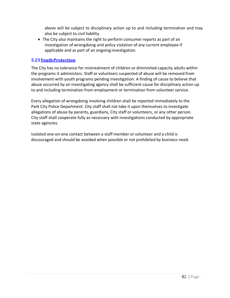above will be subject to disciplinary action up to and including termination and may also be subject to civil liability.

• The City also maintains the right to perform consumer reports as part of an investigation of wrongdoing and policy violation of any current employee if applicable and as part of an ongoing investigation.

# **5.23YouthProtection**

The City has no tolerance for mistreatment of children or diminished capacity adults within the programs it administers. Staff or volunteers suspected of abuse will be removed from involvement with youth programs pending investigation. A finding of cause to believe that abuse occurred by an investigating agency shall be sufficient cause for disciplinary action up to and including termination from employment or termination from volunteer service.

Every allegation of wrongdoing involving children shall be reported immediately to the Park City Police Department. City staff shall not take it upon themselves to investigate allegations of abuse by parents, guardians, City staff or volunteers, or any other person. City staff shall cooperate fully as necessary with investigations conducted by appropriate state agencies.

Isolated one‐on‐one contact between a staff member or volunteer and a child is discouraged and should be avoided when possible or not prohibited by business need.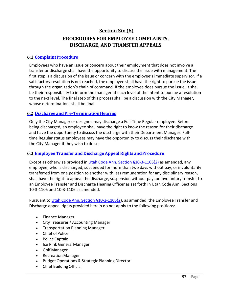# **Section Six (6) PROCEDURES FOR EMPLOYEE COMPLAINTS, DISCHARGE, AND TRANSFER APPEALS**

# **6.1 ComplaintProcedure**

Employees who have an issue or concern about their employment that does not involve a transfer or discharge shall have the opportunity to discuss the issue with management. The first step is a discussion of the issue or concern with the employee's immediate supervisor. If a satisfactory resolution is not reached, the employee shall have the right to pursue the issue through the organization's chain of command. If the employee does pursue the issue, it shall be their responsibility to inform the manager at each level of the intent to pursue a resolution to the next level. The final step of this process shall be a discussion with the City Manager, whose determinations shall be final.

# **6.2 DischargeandPre‐TerminationHearing**

Only the City Manager or designee may discharge a Full‐Time Regular employee. Before being discharged, an employee shall have the right to know the reason for their discharge and have the opportunity to discuss the discharge with their Department Manager. Fulltime Regular status employees may have the opportunity to discuss their discharge with the City Manager if they wish to do so.

#### **6.3 Employee Transfer and Discharge Appeal Rights andProcedure**

Except as otherwise provided in Utah Code Ann. Section §10‐3‐1105(2) as amended, any employee, who is discharged, suspended for more than two days without pay, or involuntarily transferred from one position to another with less remuneration for any disciplinary reason, shall have the right to appeal the discharge, suspension without pay, or involuntary transfer to an Employee Transfer and Discharge Hearing Officer as set forth in Utah Code Ann. Sections 10‐3‐1105 and 10‐3‐1106 as amended.

Pursuant to Utah Code Ann. Section §10‐3‐1105(2), as amended, the Employee Transfer and Discharge appeal rights provided herein do not apply to the following positions:

- Finance Manager
- City Treasurer / Accounting Manager
- Transportation Planning Manager
- Chief of Police
- Police Captain
- Ice Rink GeneralManager
- Golf Manager
- Recreation Manager
- Budget Operations & Strategic Planning Director
- Chief BuildingOfficial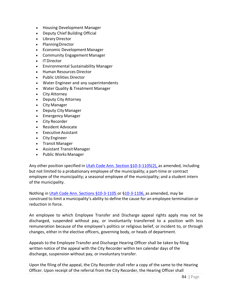- Housing Development Manager
- Deputy Chief Building Official
- Library Director
- PlanningDirector
- Economic Development Manager
- Community Engagement Manager
- ITDirector
- Environmental Sustainability Manager
- Human Resources Director
- Public Utilities Director
- Water Engineer and any superintendents
- Water Quality & Treatment Manager
- City Attorney
- Deputy City Attorney
- City Manager
- Deputy City Manager
- Emergency Manager
- City Recorder
- Resident Advocate
- Executive Assistant
- City Engineer
- Transit Manager
- Assistant Transit Manager
- Public Works Manager

Any other position specified in Utah Code Ann. Section §10-3-1105(2), as amended, including but not limited to a probationary employee of the municipality; a part‐time or contract employee of the municipality; a seasonal employee of the municipality; and a student intern of the municipality.

Nothing in Utah Code Ann. Sections §10‐3‐1105 or §10‐3‐1106, as amended, may be construed to limit a municipality's ability to define the cause for an employee termination or reduction in force.

An employee to which Employee Transfer and Discharge appeal rights apply may not be discharged, suspended without pay, or involuntarily transferred to a position with less remuneration because of the employee's politics or religious belief, or incident to, or through changes, either in the elective officers, governing body, or heads of department.

Appeals to the Employee Transfer and Discharge Hearing Officer shall be taken by filing written notice of the appeal with the City Recorder within ten calendar days of the discharge, suspension without pay, or involuntary transfer.

Upon the filing of the appeal, the City Recorder shall refer a copy of the same to the Hearing Officer. Upon receipt of the referral from the City Recorder, the Hearing Officer shall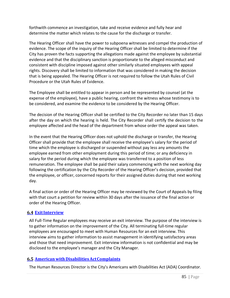forthwith commence an investigation, take and receive evidence and fully hear and determine the matter which relates to the cause for the discharge or transfer.

The Hearing Officer shall have the power to subpoena witnesses and compel the production of evidence. The scope of the inquiry of the Hearing Officer shall be limited to determine if the City has proven the facts supporting the allegations made against the employee by substantial evidence and that the disciplinary sanction is proportionate to the alleged misconduct and consistent with discipline imposed against other similarly situated employees with appeal rights. Discovery shall be limited to information that was considered in making the decision that is being appealed. The Hearing Officer is not required to follow the Utah Rules of Civil Procedure or the Utah Rules of Evidence.

The Employee shall be entitled to appear in person and be represented by counsel (at the expense of the employee), have a public hearing, confront the witness whose testimony is to be considered, and examine the evidence to be considered by the Hearing Officer.

The decision of the Hearing Officer shall be certified to the City Recorder no later than 15 days after the day on which the hearing is held. The City Recorder shall certify the decision to the employee affected and the head of the department from whose order the appeal was taken.

In the event that the Hearing Officer does not uphold the discharge or transfer, the Hearing Officer shall provide that the employee shall receive the employee's salary for the period of time which the employee is discharged or suspended without pay less any amounts the employee earned from other employment during this period of time; or any deficiency in salary for the period during which the employee was transferred to a position of less remuneration. The employee shall be paid their salary commencing with the next working day following the certification by the City Recorder of the Hearing Officer's decision, provided that the employee, or officer, concerned reports for their assigned duties during that next working day.

A final action or order of the Hearing Officer may be reviewed by the Court of Appeals by filing with that court a petition for review within 30 days after the issuance of the final action or order of the Hearing Officer.

# **6.4 ExitInterview**

All Full-Time Regular employees may receive an exit interview. The purpose of the interview is to gather information on the improvement of the City. All terminating full‐time regular employees are encouraged to meet with Human Resources for an exit interview. This interview aims to gather information to assist management in identifying satisfactory areas and those that need improvement. Exit interview information is not confidential and may be disclosed to the employee's manager and the City Manager.

# **6.5 Americanwith DisabilitiesActComplaints**

The Human Resources Director is the City's Americans with Disabilities Act (ADA) Coordinator.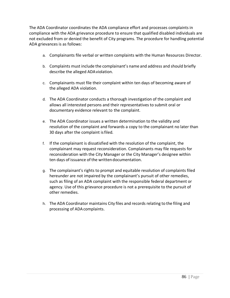The ADA Coordinator coordinates the ADA compliance effort and processes complaints in compliance with the ADA grievance procedure to ensure that qualified disabled individuals are not excluded from or denied the benefit of City programs. The procedure for handling potential ADA grievances is as follows:

- a. Complainants file verbal or written complaints with the Human Resources Director.
- b. Complaints must include the complainant's name and address and should briefly describe the alleged ADAviolation.
- c. Complainants must file their complaint within ten days of becoming aware of the alleged ADA violation.
- d. The ADA Coordinator conducts a thorough investigation of the complaint and allows all interested persons and their representatives to submit oral or documentary evidence relevant to the complaint.
- e. The ADA Coordinator issues a written determination to the validity and resolution of the complaint and forwards a copy to the complainant no later than 30 days after the complaint isfiled.
- f. If the complainant is dissatisfied with the resolution of the complaint, the complainant may request reconsideration. Complainants may file requests for reconsideration with the City Manager or the City Manager's designee within ten days of issuance of the written documentation.
- g. The complainant's rights to prompt and equitable resolution of complaints filed hereunder are not impaired by the complainant's pursuit of other remedies, such as filing of an ADA complaint with the responsible federal department or agency. Use of this grievance procedure is not a prerequisite to the pursuit of other remedies.
- h. The ADA Coordinator maintains City files and records relating to the filing and processing of ADA complaints.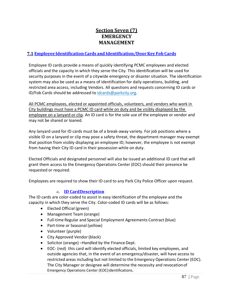# **Section Seven (7) EMERGENCY MANAGEMENT**

# **7.1 Employee Identification Cards and Identification/DoorKey Fob Cards**

Employee ID cards provide a means of quickly identifying PCMC employees and elected officials and the capacity in which they serve the City. This identification will be used for security purposes in the event of a citywide emergency or disaster situation. The identification system may also be used as a means of identification for daily operations, building, and restricted area access, including Vendors. All questions and requests concerning ID cards or ID/Fob Cards should be addressed to [idcards@parkcity.org.](mailto:idcards@parkcity.org)

All PCMC employees, elected or appointed officials, volunteers, and vendors who work in City buildings must have a PCMC ID card while on duty and be visibly displayed by the employee on a lanyard or clip. An ID card is for the sole use of the employee or vendor and may not be shared or loaned.

Any lanyard used for ID cards must be of a break‐away variety. For job positions where a visible ID on a lanyard or clip may pose a safety threat, the department manager may exempt that position from visibly displaying an employee ID; however, the employee is not exempt from having their City ID card in their possession while on duty.

Elected Officials and designated personnel will also be issued an additional ID card that will grant them access to the Emergency Operations Center (EOC) should their presence be requested or required.

Employees are required to show their ID card to any Park City Police Officer upon request.

# **a. ID CardDescription**

The ID cards are color-coded to assist in easy identification of the employee and the capacity in which they serve the City. Color-coded ID cards will be as follows:

- Elected Official (green)
- Management Team (orange)
- Full-time Regular and Special Employment Agreements Contract (blue)
- Part-time or Seasonal (yellow)
- Volunteer (purple)
- City Approved Vendor (black)
- Solicitor (orange) Handled by the Finance Dept.
- EOC‐ (red) this card will identify elected officials, limited key employees, and outside agencies that, in the event of an emergency/disaster, will have access to restricted areas including but not limited to the Emergency Operations Center (EOC). The City Manager or designee will determine the necessity and revocationof Emergency Operations Center (EOC)identifications.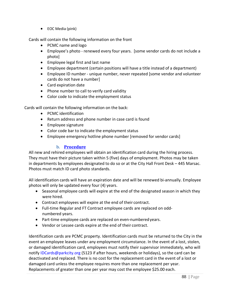• EOC Media (pink)

Cards will contain the following information on the front

- PCMC name and logo
- Employee's photo renewed every four years. [some vendor cards do not include a photo]
- Employee legal first and last name
- Employee department (certain positions will have a title instead of a department)
- Employee ID number ‐ unique number, never repeated [some vendor and volunteer cards do not have a number]
- Card expiration date
- Phone number to call to verify card validity
- Color code to indicate the employment status

Cards will contain the following information on the back:

- PCMC identification
- Return address and phone number in case card is found
- Employee signature
- Color code bar to indicate the employment status
- Employee emergency hotline phone number [removed for vendor cards]

# **b. Procedure**

All new and rehired employees will obtain an identification card during the hiring process. They must have their picture taken within 5 (five) days of employment. Photos may be taken in departments by employees designated to do so or at the City Hall Front Desk – 445 Marsac. Photos must match ID card photo standards.

All identification cards will have an expiration date and will be renewed bi‐annually. Employee photos will only be updated every four (4) years.

- Seasonal employee cards will expire at the end of the designated season in which they were hired.
- Contract employees will expire at the end of their contract.
- Full‐time Regular and FT Contract employee cards are replaced on oddnumbered years.
- Part-time employee cards are replaced on even-numbered years.
- Vendor or Lessee cards expire at the end of their contract.

Identification cards are PCMC property. Identification cards must be returned to the City in the event an employee leaves under any employment circumstance. In the event of a lost, stolen, or damaged identification card, employees must notify their supervisor immediately, who will notify [IDCards@parkcity.org](mailto:IDCards@parkcity.org) (5123 if after hours, weekends or holidays), so the card can be deactivated and replaced. There is no cost for the replacement card in the event of a lost or damaged card unless the employee requires more than one replacement per year. Replacements of greater than one per year may cost the employee \$25.00 each.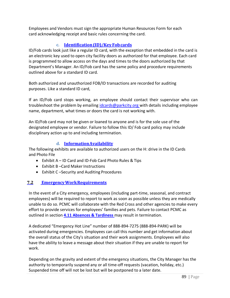Employees and Vendors must sign the appropriate Human Resources Form for each card acknowledging receipt and basic rules concerning the card.

# **c. Identification(ID)/Key Fobcards**

ID/Fob cards look just like a regular ID card, with the exception that embedded in the card is an electronic key used to open city facility doors as authorized for that employee. Each card is programmed to allow access on the days and times to the doors authorized by that Department's Manager. An ID/Fob card has the same policy and procedure requirements outlined above for a standard ID card.

Both authorized and unauthorized FOB/ID transactions are recorded for auditing purposes. Like a standard ID card,

If an ID/Fob card stops working, an employee should contact their supervisor who can troubleshoot the problem by emailing [idcards@parkcity.org w](mailto:idcards@parkcity.org)ith details including employee name, department, what times or doors the card is not working with.

An ID/Fob card may not be given or loaned to anyone and is for the sole use of the designated employee or vendor. Failure to follow this ID/ Fob card policy may include disciplinary action up to and including termination.

# **d. InformationAvailability**

The following exhibits are available to authorized users on the H: drive in the ID Cards and Photo File

- Exhibit A ID Card and ID‐Fob Card Photo Rules & Tips
- $\bullet$  Exhibit B-Card Maker Instructions
- Exhibit C –Security and Auditing Procedures

# **7.2 EmergencyWorkRequirements**

In the event of a City emergency, employees (including part-time, seasonal, and contract employees) will be required to report to work as soon as possible unless they are medically unable to do so. PCMC will collaborate with the Red Cross and other agencies to make every effort to provide services for employees' families and pets. Failure to contact PCMC as outlined in section **4.11 Absences & Tardiness** may result in termination.

A dedicated "Emergency Hot Line" number of 888‐894‐7275 (888‐894‐PARK) will be activated during emergencies. Employees can call this number and get information about the overall status of the City's situation and their work assignments. Employees will also have the ability to leave a message about their situation if they are unable to report for work.

Depending on the gravity and extent of the emergency situations, the City Manager has the authority to temporarily suspend any or all time-off requests (vacation, holiday, etc.) Suspended time off will not be lost but will be postponed to a later date.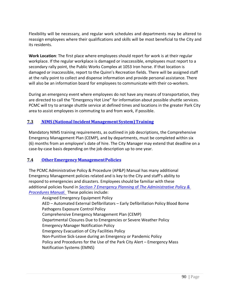Flexibility will be necessary, and regular work schedules and departments may be altered to reassign employees where their qualifications and skills will be most beneficial to the City and its residents.

**Work Location**: The first place where employees should report for work is at their regular workplace. If the regular workplace is damaged or inaccessible, employees must report to a secondary rally point, the Public Works Complex at 1053 Iron horse. If that location is damaged or inaccessible, report to the Quinn's Recreation fields. There will be assigned staff at the rally point to collect and dispense information and provide personal assistance. There will also be an information board for employees to communicate with their co-workers.

During an emergency event where employees do not have any means of transportation, they are directed to call the "Emergency Hot Line" for information about possible shuttle services. PCMC will try to arrange shuttle service at defined times and locations in the greater Park City area to assist employees in commuting to and from work, if possible.

# **7.3 NIMS (NationalIncidentManagement System)Training**

Mandatory NIMS training requirements, as outlined in job descriptions, the Comprehensive Emergency Management Plan (CEMP), and by departments, must be completed within six (6) months from an employee's date of hire. The City Manager may extend that deadline on a case-by-case basis depending on the job description up to one year.

# **7.4 OtherEmergency ManagementPolicies**

The PCMC Administrative Policy & Procedure (AP&P) Manual has many additional Emergency Management policies related and is key to the City and staff's ability to respond to emergencies and disasters. Employees should be familiar with these additional policies found in *[Section 7 Emergency Planning](https://ep.parkcity.org/Shared%20Documents/Administrative%20Policies.pdf)* of *The Administrative Policy & [Procedures Manual.](https://ep.parkcity.org/Shared%20Documents/Administrative%20Policies.pdf)* These policies include:

Assigned Emergency Equipment Policy AED – Automated External Defibrillators – Early Defibrillation Policy Blood Borne Pathogens Exposure Control Policy Comprehensive Emergency Management Plan (CEMP) Departmental Closures Due to Emergencies or Severe Weather Policy Emergency Manager Notification Policy Emergency Evacuation of City Facilities Policy Non‐Punitive Sick‐Leave during an Emergency or Pandemic Policy Policy and Procedures for the Use of the Park City Alert – Emergency Mass Notification Systems (EMNS)